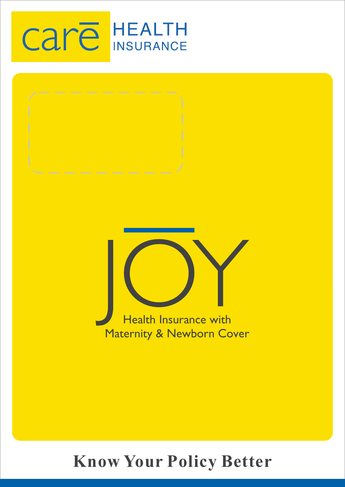# **Care HEALTH**



# **Know Your Policy Better**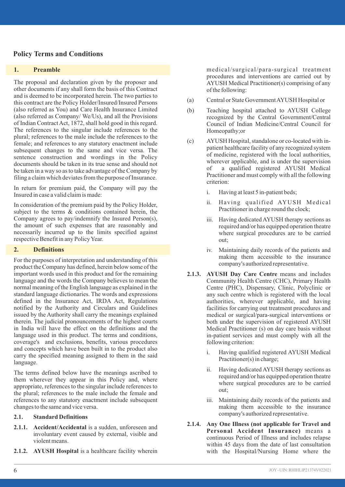## **Policy Terms and Conditions**

#### **1. Preamble**

The proposal and declaration given by the proposer and other documents if any shall form the basis of this Contract and is deemed to be incorporated herein. The two parties to this contract are the Policy Holder/Insured/Insured Persons (also referred as You) and Care Health Insurance Limited (also referred as Company/ We/Us), and all the Provisions of Indian Contract Act, 1872, shall hold good in this regard. The references to the singular include references to the plural; references to the male include the references to the female; and references to any statutory enactment include subsequent changes to the same and vice versa. The sentence construction and wordings in the Policy documents should be taken in its true sense and should not be taken in a way so as to take advantage of the Company by filing a claim which deviates from the purpose of Insurance.

In return for premium paid, the Company will pay the Insured in case a valid claim is made:

In consideration of the premium paid by the Policy Holder, subject to the terms  $\&$  conditions contained herein, the Company agrees to pay/indemnify the Insured Person(s), the amount of such expenses that are reasonably and necessarily incurred up to the limits specified against respective Benefit in any Policy Year.

#### **2. Definitions**

For the purposes of interpretation and understanding of this product the Company has defined, herein below some of the important words used in this product and for the remaining language and the words the Company believes to mean the normal meaning of the English language as explained in the standard language dictionaries. The words and expressions defined in the Insurance Act, IRDA Act, Regulations notified by the Authority and Circulars and Guidelines issued by the Authority shall carry the meanings explained therein. The judicial pronouncements of the highest courts in India will have the effect on the definitions and the language used in this product. The terms and conditions, coverage's and exclusions, benefits, various procedures and concepts which have been built in to the product also carry the specified meaning assigned to them in the said language.

The terms defined below have the meanings ascribed to them wherever they appear in this Policy and, where appropriate, references to the singular include references to the plural; references to the male include the female and references to any statutory enactment include subsequent changes to the same and vice versa.

#### **2.1. Standard Definitions**

- **2.1.1. Accident/Accidental** is a sudden, unforeseen and involuntary event caused by external, visible and violent means.
- **2.1.2. AYUSH Hospital** is a healthcare facility wherein

medical/surgical/para-surgical treatment procedures and interventions are carried out by AYUSH Medical Practitioner(s) comprising of any of the following:

- (a) Central or State Government AYUSH Hospital or
- (b) Teaching hospital attached to AYUSH College recognized by the Central Government/Central Council of Indian Medicine/Central Council for Homeopathy;or
- (c) AYUSH Hospital, standalone or co-located with inpatient healthcare facility of any recognized system of medicine, registered with the local authorities, wherever applicable, and is under the supervision of a qualified registered AYUSH Medical Practitioner and must comply with all the following criterion:
	- i. Having at least 5 in-patient beds;
	- ii. Having qualified AYUSH Medical Practitioner in charge round the clock;
	- iii. Having dedicated AYUSH therapy sections as required and/or has equipped operation theatre where surgical procedures are to be carried out;
	- iv. Maintaining daily records of the patients and making them accessible to the insurance company's authorized representative.
- **2.1.3. AYUSH Day Care Centre** means and includes Community Health Centre (CHC), Primary Health Centre (PHC), Dispensary, Clinic, Polyclinic or any such centre which is registered with the local authorities, wherever applicable, and having facilities for carrying out treatment procedures and medical or surgical/para-surgical interventions or both under the supervision of registered AYUSH Medical Practitioner (s) on day care basis without in-patient services and must comply with all the following criterion:
	- i. Having qualified registered AYUSH Medical Practitioner(s) in charge;
	- ii. Having dedicated AYUSH therapy sections as required and/or has equipped operation theatre where surgical procedures are to be carried out;
	- iii. Maintaining daily records of the patients and making them accessible to the insurance company's authorized representative.
- **2.1.4. Any One Illness (not applicable for Travel and Personal Accident Insurance)** means a continuous Period of Illness and includes relapse within 45 days from the date of last consultation with the Hospital/Nursing Home where the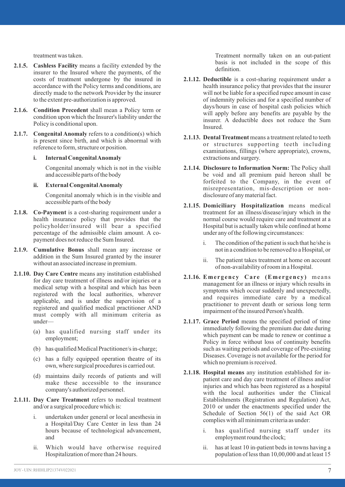treatment was taken.

- **2.1.5. Cashless Facility** means a facility extended by the insurer to the Insured where the payments, of the costs of treatment undergone by the insured in accordance with the Policy terms and conditions, are directly made to the network Provider by the insurer to the extent pre-authorization is approved.
- **2.1.6. Condition Precedent** shall mean a Policy term or condition upon which the Insurer's liability under the Policy is conditional upon.
- **2.1.7. Congenital Anomaly** refers to a condition(s) which is present since birth, and which is abnormal with reference to form, structure or position.

#### **i. Internal Congenital Anomaly**

Congenital anomaly which is not in the visible and accessible parts of the body

#### **ii. External Congenital Anomaly**

Congenital anomaly which is in the visible and accessible parts of the body

- **2.1.8. Co-Payment** is a cost-sharing requirement under a health insurance policy that provides that the policyholder/insured will bear a specified percentage of the admissible claim amount. A copayment does not reduce the Sum Insured.
- **2.1.9. Cumulative Bonus** shall mean any increase or addition in the Sum Insured granted by the insurer without an associated increase in premium.
- **2.1.10. Day Care Centre** means any institution established for day care treatment of illness and/or injuries or a medical setup with a hospital and which has been registered with the local authorities, wherever applicable, and is under the supervision of a registered and qualified medical practitioner AND must comply with all minimum criteria as under—
	- (a) has qualified nursing staff under its employment;
	- (b) has qualified Medical Practitioner/s in-charge;
	- (c) has a fully equipped operation theatre of its own, where surgical procedures is carried out.
	- (d) maintains daily records of patients and will make these accessible to the insurance company's authorized personnel.
- **2.1.11. Day Care Treatment** refers to medical treatment and/or a surgical procedure which is:
	- i. undertaken under general or local anesthesia in a Hospital/Day Care Center in less than 24 hours because of technological advancement, and
	- ii. Which would have otherwise required Hospitalization of more than 24 hours.

Treatment normally taken on an out-patient basis is not included in the scope of this definition.

- **2.1.12. Deductible** is a cost-sharing requirement under a health insurance policy that provides that the insurer will not be liable for a specified rupee amount in case of indemnity policies and for a specified number of days/hours in case of hospital cash policies which will apply before any benefits are payable by the insurer. A deductible does not reduce the Sum Insured.
- **2.1.13. Dental Treatment** means a treatment related to teeth or structures supporting teeth including examinations, fillings (where appropriate), crowns, extractions and surgery.
- **2.1.14. Disclosure to Information Norm:** The Policy shall be void and all premium paid hereon shall be forfeited to the Company, in the event of misrepresentation, mis-description or nondisclosure of any material fact.
- **2.1.15. Domiciliary Hospitalization** means medical treatment for an illness/disease/injury which in the normal course would require care and treatment at a Hospital but is actually taken while confined at home under any of the following circumstances:
	- i. The condition of the patient is such that he/she is not in a condition to be removed to a Hospital, or
	- ii. The patient takes treatment at home on account of non-availability of room in a Hospital.
- 2.1.16. Emergency Care (Emergency) means management for an illness or injury which results in symptoms which occur suddenly and unexpectedly, and requires immediate care by a medical practitioner to prevent death or serious long term impairment of the insured Person's health.
- **2.1.17. Grace Period** means the specified period of time immediately following the premium due date during which payment can be made to renew or continue a Policy in force without loss of continuity benefits such as waiting periods and coverage of Pre-existing Diseases. Coverage is not available for the period for which no premium is received.
- **2.1.18. Hospital means** any institution established for inpatient care and day care treatment of illness and/or injuries and which has been registered as a hospital with the local authorities under the Clinical Establishments (Registration and Regulation) Act, 2010 or under the enactments specified under the Schedule of Section 56(1) of the said Act OR complies with all minimum criteria as under:
	- i. has qualified nursing staff under its employment round the clock;
	- ii. has at least 10 in-patient beds in towns having a population of less than 10,00,000 and at least 15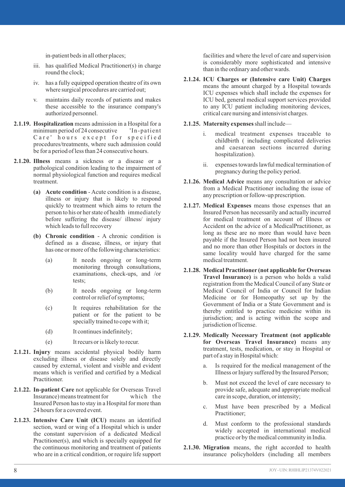in-patient beds in all other places;

- iii. has qualified Medical Practitioner(s) in charge round the clock:
- iv. has a fully equipped operation theatre of its own where surgical procedures are carried out;
- v. maintains daily records of patients and makes these accessible to the insurance company's authorized personnel.
- **2.1.19. Hospitalization** means admission in a Hospital for a minimum period of 24 consecutive 'In-patient  $minimum period of 24 consecutive$ Care' hours except for specified procedures/treatments, where such admission could be for a period of less than 24 consecutive hours.
- **2.1.20. Illness** means a sickness or a disease or a pathological condition leading to the impairment of normal physiological function and requires medical treatment.
	- **(a) Acute condition** Acute condition is a disease, illness or injury that is likely to respond quickly to treatment which aims to return the person to his or her state of health immediately before suffering the disease/ illness/ injury which leads to full recovery
	- **(b) Chronic condition** A chronic condition is defined as a disease, illness, or injury that has one or more of the following characteristics:
		- (a) It needs ongoing or long-term monitoring through consultations, examinations, check-ups, and /or tests;
		- (b) It needs ongoing or long-term control or relief of symptoms;
		- (c) It requires rehabilitation for the patient or for the patient to be specially trained to cope with it;
		- (d) It continues indefinitely;
		- (e) It recurs or is likely to recur.
- **2.1.21. Injury** means accidental physical bodily harm excluding illness or disease solely and directly caused by external, violent and visible and evident means which is verified and certified by a Medical Practitioner.
- **2.1.22. In-patient Care** not applicable for Overseas Travel Insurance) means treatment for which the Insured Person has to stay in a Hospital for more than 24 hours for a covered event.
- **2.1.23. Intensive Care Unit (ICU)** means an identified section, ward or wing of a Hospital which is under the constant supervision of a dedicated Medical Practitioner(s), and which is specially equipped for the continuous monitoring and treatment of patients who are in a critical condition, or require life support

facilities and where the level of care and supervision is considerably more sophisticated and intensive than in the ordinary and other wards.

- **2.1.24. ICU Charges or (Intensive care Unit) Charges** means the amount charged by a Hospital towards ICU expenses which shall include the expenses for ICU bed, general medical support services provided to any ICU patient including monitoring devices, critical care nursing and intensivist charges.
- **2.1.25. Maternity expenses** shall include
	- i. medical treatment expenses traceable to childbirth ( including complicated deliveries and caesarean sections incurred during hospitalization).
	- ii. expenses towards lawful medical termination of pregnancy during the policy period.
- **2.1.26. Medical Advice** means any consultation or advice from a Medical Practitioner including the issue of any prescription or follow-up prescription.
- **2.1.27. Medical Expenses** means those expenses that an Insured Person has necessarily and actually incurred for medical treatment on account of Illness or Accident on the advice of a MedicalPractitioner, as long as these are no more than would have been payable if the Insured Person had not been insured and no more than other Hospitals or doctors in the same locality would have charged for the same medical treatment.
- **2.1.28. Medical Practitioner (not applicable forOverseas Travel Insurance)** is a person who holds a valid registration from the Medical Council of any State or Medical Council of India or Council for Indian Medicine or for Homeopathy set up by the Government of India or a State Government and is thereby entitled to practice medicine within its jurisdiction; and is acting within the scope and jurisdiction of license.
- **2.1.29. Medically Necessary Treatment (not applicable for Overseas Travel Insurance)** means any treatment, tests, medication, or stay in Hospital or part of a stay in Hospital which:
	- a. Is required for the medical management of the Illness or Injury suffered by the Insured Person;
	- b. Must not exceed the level of care necessary to provide safe, adequate and appropriate medical care in scope, duration, or intensity;
	- c. Must have been prescribed by a Medical Practitioner;
	- d. Must conform to the professional standards widely accepted in international medical practice or by the medical community in India.
- **2.1.30. Migration** means, the right accorded to health insurance policyholders (including all members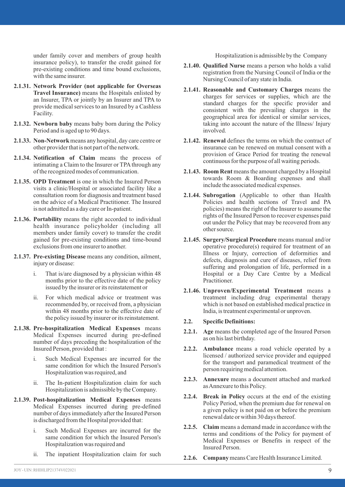under family cover and members of group health insurance policy), to transfer the credit gained for pre-existing conditions and time bound exclusions, with the same insurer.

- **2.1.31. Network Provider (not applicable for Overseas Travel Insurance)** means the Hospitals enlisted by an Insurer, TPA or jointly by an Insurer and TPA to provide medical services to an Insured by a Cashless Facility.
- **2.1.32. Newborn baby** means baby born during the Policy Period and is aged up to 90 days.
- **2.1.33. Non-Network**means any hospital, day care centre or other provider that is not part of the network.
- **2.1.34. Notification of Claim** means the process of intimating a Claim to the Insurer or TPA through any of the recognized modes of communication.
- **2.1.35. OPD Treatment** is one in which the Insured Person visits a clinic/Hospital or associated facility like a consultation room for diagnosis and treatment based on the advice of a Medical Practitioner. The Insured is not admitted as a day care or In-patient.
- **2.1.36. Portability** means the right accorded to individual health insurance policyholder (including all members under family cover) to transfer the credit gained for pre-existing conditions and time-bound exclusions from one insurer to another.
- **2.1.37. Pre-existing Disease** means any condition, ailment, injury or disease:
	- i. That is/are diagnosed by a physician within 48 months prior to the effective date of the policy issued by the insurer or its reinstatement or
	- ii. For which medical advice or treatment was recommended by, or received from, a physician within 48 months prior to the effective date of the policy issued by insurer or its reinstatement.
- **2.1.38. Pre-hospitalization Medical Expenses** means Medical Expenses incurred during pre-defined number of days preceding the hospitalization of the Insured Person, provided that :
	- i. Such Medical Expenses are incurred for the same condition for which the Insured Person's Hospitalization was required, and
	- ii. The In-patient Hospitalization claim for such Hospitalization is admissible by the Company.
- **2.1.39. Post-hospitalization Medical Expenses** means Medical Expenses incurred during pre-defined number of days immediately after the Insured Person is discharged from the Hospital provided that:
	- i. Such Medical Expenses are incurred for the same condition for which the Insured Person's Hospitalization was required and
	- ii. The inpatient Hospitalization claim for such

Hospitalization is admissible by the Company

- **2.1.40. Qualified Nurse** means a person who holds a valid registration from the Nursing Council of India or the Nursing Council of any state in India.
- **2.1.41. Reasonable and Customary Charges** means the charges for services or supplies, which are the standard charges for the specific provider and consistent with the prevailing charges in the geographical area for identical or similar services, taking into account the nature of the Illness/ Injury involved.
- **2.1.42. Renewal** defines the terms on which the contract of insurance can be renewed on mutual consent with a provision of Grace Period for treating the renewal continuous for the purpose of all waiting periods.
- **2.1.43. Room Rent** means the amount charged by a Hospital towards Room & Boarding expenses and shall include the associated medical expenses.
- **2.1.44. Subrogation** (Applicable to other than Health Policies and health sections of Travel and PA policies) means the right of the Insurer to assume the rights of the Insured Person to recover expenses paid out under the Policy that may be recovered from any other source.
- **2.1.45. Surgery/Surgical Procedure** means manual and/or operative procedure(s) required for treatment of an Illness or Injury, correction of deformities and defects, diagnosis and cure of diseases, relief from suffering and prolongation of life, performed in a Hospital or a Day Care Centre by a Medical Practitioner.
- **2.1.46. Unproven/Experimental Treatment** means a treatment including drug experimental therapy which is not based on established medical practice in India, is treatment experimental or unproven.
- **2.2. Specific Definitions:**
- **2.2.1. Age** means the completed age of the Insured Person as on his last birthday.
- **2.2.2. Ambulance** means a road vehicle operated by a licensed / authorized service provider and equipped for the transport and paramedical treatment of the person requiring medical attention.
- **2.2.3. Annexure** means a document attached and marked as Annexure to this Policy.
- **2.2.4. Break in Policy** occurs at the end of the existing Policy Period, when the premium due for renewal on a given policy is not paid on or before the premium renewal date or within 30 days thereof.
- **2.2.5. Claim** means a demand made in accordance with the terms and conditions of the Policy for payment of Medical Expenses or Benefits in respect of the Insured Person.
- **2.2.6. Company**means Care Health Insurance Limited.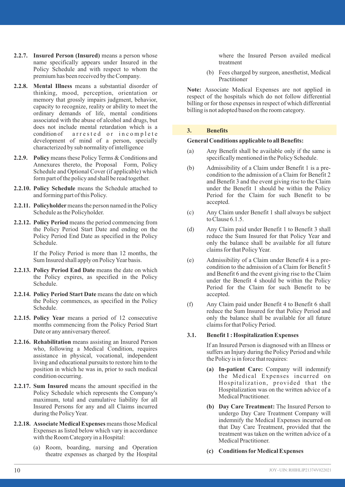- **2.2.7. Insured Person (Insured)** means a person whose name specifically appears under Insured in the Policy Schedule and with respect to whom the premium has been received by the Company.
- **2.2.8. Mental Illness** means a substantial disorder of thinking, mood, perception, orientation or memory that grossly impairs judgment, behavior, capacity to recognize, reality or ability to meet the ordinary demands of life, mental conditions associated with the abuse of alcohol and drugs, but does not include mental retardation which is a condition of a r r e sted or in complete development of mind of a person, specially characterized by sub normality of intelligence
- **2.2.9. Policy** means these Policy Terms & Conditions and Annexures thereto, the Proposal Form, Policy Schedule and Optional Cover (if applicable) which form part of the policy and shall be read together.
- **2.2.10. Policy Schedule** means the Schedule attached to and forming part of this Policy.
- **2.2.11. Policyholder**means the person named in the Policy Schedule as the Policyholder.
- **2.2.12. Policy Period** means the period commencing from the Policy Period Start Date and ending on the Policy Period End Date as specified in the Policy Schedule.

If the Policy Period is more than 12 months, the Sum Insured shall apply on Policy Year basis.

- **2.2.13. Policy Period End Date** means the date on which the Policy expires, as specified in the Policy Schedule.
- **2.2.14. Policy Period Start Date** means the date on which the Policy commences, as specified in the Policy Schedule.
- **2.2.15. Policy Year** means a period of 12 consecutive months commencing from the Policy Period Start Date or any anniversary thereof.
- **2.2.16. Rehabilitation** means assisting an Insured Person who, following a Medical Condition, requires assistance in physical, vocational, independent living and educational pursuits to restore him to the position in which he was in, prior to such medical condition occurring.
- **2.2.17. Sum Insured** means the amount specified in the Policy Schedule which represents the Company's maximum, total and cumulative liability for all Insured Persons for any and all Claims incurred during the Policy Year.
- **2.2.18. Associate Medical Expenses** means those Medical Expenses as listed below which vary in accordance with the Room Category in a Hospital:
	- (a) Room, boarding, nursing and Operation theatre expenses as charged by the Hospital

where the Insured Person availed medical treatment

(b) Fees charged by surgeon, anesthetist, Medical Practitioner

**Note:** Associate Medical Expenses are not applied in respect of the hospitals which do not follow differential billing or for those expenses in respect of which differential billing is not adopted based on the room category.

#### **3. Benefits**

#### **General Conditions applicable to all Benefits:**

- (a) Any Benefit shall be available only if the same is specifically mentioned in the Policy Schedule.
- (b) Admissibility of a Claim under Benefit 1 is a precondition to the admission of a Claim for Benefit 2 and Benefit 3 and the event giving rise to the Claim under the Benefit 1 should be within the Policy Period for the Claim for such Benefit to be accepted.
- (c) Any Claim under Benefit 1 shall always be subject to Clause 6.1.5.
- (d) Any Claim paid under Benefit 1 to Benefit 3 shall reduce the Sum Insured for that Policy Year and only the balance shall be available for all future claims for that Policy Year.
- (e) Admissibility of a Claim under Benefit 4 is a precondition to the admission of a Claim for Benefit 5 and Benefit 6 and the event giving rise to the Claim under the Benefit 4 should be within the Policy Period for the Claim for such Benefit to be accepted.
- (f) Any Claim paid under Benefit 4 to Benefit 6 shall reduce the Sum Insured for that Policy Period and only the balance shall be available for all future claims for that Policy Period.

#### **3.1. Benefit 1 : Hospitalization Expenses**

If an Insured Person is diagnosed with an Illness or suffers an Injury during the Policy Period and while the Policy is in force that requires:

- **(a) In-patient Care:** Company will indemnify the Medical Expenses incurred on Hospitalization, provided that the Hospitalization was on the written advice of a Medical Practitioner.
- **(b) Day Care Treatment:** The Insured Person to undergo Day Care Treatment Company will indemnify the Medical Expenses incurred on that Day Care Treatment, provided that the treatment was taken on the written advice of a Medical Practitioner.
- **(c) Conditions forMedical Expenses**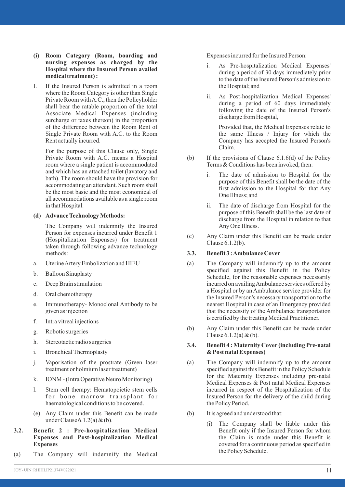- **(i) Room Category (Room, boarding and nursing expenses as charged by the Hospital where the Insured Person availed medical treatment) :**
- I. If the Insured Person is admitted in a room where the Room Category is other than Single Private Room with A.C., then the Policyholder shall bear the ratable proportion of the total Associate Medical Expenses (including surcharge or taxes thereon) in the proportion of the difference between the Room Rent of Single Private Room with A.C. to the Room Rent actually incurred.

For the purpose of this Clause only, Single Private Room with A.C. means a Hospital room where a single patient is accommodated and which has an attached toilet (lavatory and bath). The room should have the provision for accommodating an attendant. Such room shall be the most basic and the most economical of all accommodations available as a single room in that Hospital.

#### **(d) Advance Technology Methods:**

The Company will indemnify the Insured Person for expenses incurred under Benefit 1 (Hospitalization Expenses) for treatment taken through following advance technology methods:

- a. Uterine Artery Embolization and HIFU
- b. Balloon Sinuplasty
- c. Deep Brain stimulation
- d. Oral chemotherapy
- e. Immunotherapy- Monoclonal Antibody to be given as injection
- f. Intra vitreal injections
- g. Robotic surgeries
- h. Stereotactic radio surgeries
- i. Bronchical Thermoplasty
- j. Vaporisation of the prostrate (Green laser treatment or holmium laser treatment)
- k. IONM (Intra Operative Neuro Monitoring)
- l. Stem cell therapy: Hematopoietic stem cells for bone marrow transplant for haematological conditions to be covered.
- (e) Any Claim under this Benefit can be made under Clause 6.1.2(a) & (b).
- **3.2. Benefit 2 : Pre-hospitalization Medical Expenses and Post-hospitalization Medical Expenses**
- (a) The Company will indemnify the Medical

Expenses incurred for the Insured Person:

- i. As Pre-hospitalization Medical Expenses' during a period of 30 days immediately prior to the date of the Insured Person's admission to the Hospital; and
- ii. As Post-hospitalization Medical Expenses' during a period of 60 days immediately following the date of the Insured Person's discharge from Hospital,

Provided that, the Medical Expenses relate to the same Illness / Injury for which the Company has accepted the Insured Person's Claim.

- (b) If the provisions of Clause 6.1.6(d) of the Policy Terms & Conditions has been invoked, then:
	- i. The date of admission to Hospital for the purpose of this Benefit shall be the date of the first admission to the Hospital for that Any One Illness; and
	- ii. The date of discharge from Hospital for the purpose of this Benefit shall be the last date of discharge from the Hospital in relation to that Any One Illness.
- (c) Any Claim under this Benefit can be made under Clause 6.1.2(b).

#### **3.3. Benefit 3 : Ambulance Cover**

- (a) The Company will indemnify up to the amount specified against this Benefit in the Policy Schedule, for the reasonable expenses necessarily incurred on availing Ambulance services offered by a Hospital or by an Ambulance service provider for the Insured Person's necessary transportation to the nearest Hospital in case of an Emergency provided that the necessity of the Ambulance transportation is certified by the treating Medical Practitioner.
- (b) Any Claim under this Benefit can be made under Clause  $6.1.2(a) \& (b)$ .

#### **3.4. Benefit 4 : Maternity Cover (including Pre-natal & Post natal Expenses)**

- (a) The Company will indemnify up to the amount specified against this Benefit in the Policy Schedule for the Maternity Expenses including pre-natal Medical Expenses & Post natal Medical Expenses incurred in respect of the Hospitalization of the Insured Person for the delivery of the child during the Policy Period.
- (b) It is agreed and understood that:
	- (i) The Company shall be liable under this Benefit only if the Insured Person for whom the Claim is made under this Benefit is covered for a continuous period as specified in the Policy Schedule.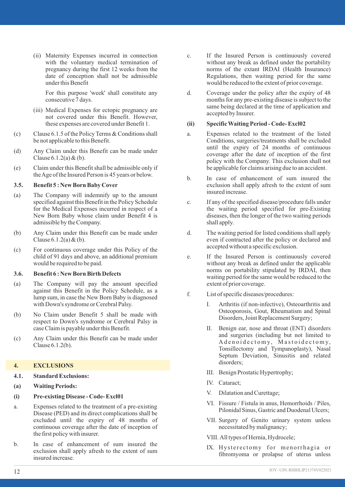(ii) Maternity Expenses incurred in connection with the voluntary medical termination of pregnancy during the first 12 weeks from the date of conception shall not be admissible under this Benefit

For this purpose 'week' shall constitute any consecutive 7 days.

- (iii) Medical Expenses for ectopic pregnancy are not covered under this Benefit. However, these expenses are covered under Benefit 1.
- (c) Clause 6.1.5 of the Policy Terms & Conditions shall be not applicable to this Benefit.
- (d) Any Claim under this Benefit can be made under Clause  $6.1.2(a) \& (b)$ .
- (e) Claim under this Benefit shall be admissible only if the Age of the Insured Person is 45 years or below.

#### **3.5. Benefit 5 : New Born Baby Cover**

- (a) The Company will indemnify up to the amount specified against this Benefit in the Policy Schedule for the Medical Expenses incurred in respect of a New Born Baby whose claim under Benefit 4 is admissible by the Company.
- (b) Any Claim under this Benefit can be made under Clause  $6.1.2(a) \& (b)$ .
- (c) For continuous coverage under this Policy of the child of 91 days and above, an additional premium would be required to be paid.

#### **3.6. Benefit 6 : New Born Birth Defects**

- (a) The Company will pay the amount specified against this Benefit in the Policy Schedule, as a lump sum, in case the New Born Baby is diagnosed with Down's syndrome or Cerebral Palsy.
- (b) No Claim under Benefit 5 shall be made with respect to Down's syndrome or Cerebral Palsy in case Claim is payable under this Benefit.
- (c) Any Claim under this Benefit can be made under Clause 6.1.2(b).

#### **4. EXCLUSIONS**

- **4.1. Standard Exclusions:**
- **(a) Waiting Periods:**

#### **(i) Pre-existing Disease - Code- Excl01**

- a. Expenses related to the treatment of a pre-existing Disease (PED) and its direct complications shall be excluded until the expiry of 48 months of continuous coverage after the date of inception of the first policy with insurer.
- b. In case of enhancement of sum insured the exclusion shall apply afresh to the extent of sum insured increase.
- c. If the Insured Person is continuously covered without any break as defined under the portability norms of the extant IRDAI (Health Insurance) Regulations, then waiting period for the same would be reduced to the extent of prior coverage.
- d. Coverage under the policy after the expiry of 48 months for any pre-existing disease is subject to the same being declared at the time of application and accepted by Insurer.

### **(ii) Specific Waiting Period - Code- Excl02**

- a. Expenses related to the treatment of the listed Conditions, surgeries/treatments shall be excluded until the expiry of 24 months of continuous coverage after the date of inception of the first policy with the Company. This exclusion shall not be applicable for claims arising due to an accident.
- b. In case of enhancement of sum insured the exclusion shall apply afresh to the extent of sum insured increase.
- c. If any of the specified disease/procedure falls under the waiting period specified for pre-Existing diseases, then the longer of the two waiting periods shall apply.
- d. The waiting period for listed conditions shall apply even if contracted after the policy or declared and accepted without a specific exclusion.
- e. If the Insured Person is continuously covered without any break as defined under the applicable norms on portability stipulated by IRDAI, then waiting period for the same would be reduced to the extent of prior coverage.
- f. List of specific diseases/procedures:
	- I. Arthritis (if non-infective), Osteoarthritis and Osteoporosis, Gout, Rheumatism and Spinal Disorders, Joint Replacement Surgery;
	- II. Benign ear, nose and throat (ENT) disorders and surgeries (including but not limited to A denoidectomy, Mastoidectomy, Tonsillectomy and Tympanoplasty), Nasal Septum Deviation, Sinusitis and related disorders;
	- III. Benign Prostatic Hypertrophy;
	- IV. Cataract;
	- V. Dilatation and Curettage;
	- VI. Fissure / Fistula in anus, Hemorrhoids / Piles, Pilonidal Sinus, Gastric and Duodenal Ulcers;
	- VII. Surgery of Genito urinary system unless necessitated by malignancy;
	- VIII. All types of Hernia, Hydrocele;
	- IX. Hysterectomy for menorrhagia or fibromyoma or prolapse of uterus unless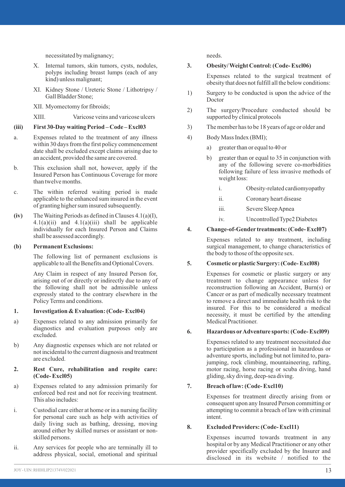necessitated by malignancy;

- X. Internal tumors, skin tumors, cysts, nodules, polyps including breast lumps (each of any kind) unless malignant;
- XI. Kidney Stone / Ureteric Stone / Lithotripsy / Gall Bladder Stone;

XII. Myomectomy for fibroids;

XIII. Varicose veins and varicose ulcers

#### **(iii) First 30-Day waiting Period – Code – Excl03**

- a. Expenses related to the treatment of any illness within 30 days from the first policy commencement date shall be excluded except claims arising due to an accident, provided the same are covered.
- b. This exclusion shall not, however, apply if the Insured Person has Continuous Coverage for more than twelve months.
- c. The within referred waiting period is made applicable to the enhanced sum insured in the event of granting higher sum insured subsequently.
- **(iv)** The Waiting Periods as defined in Clauses 4.1(a)(I),  $4.1(a)(ii)$  and  $4.1(a)(iii)$  shall be applicable individually for each Insured Person and Claims shall be assessed accordingly.

#### **(b) Permanent Exclusions:**

The following list of permanent exclusions is applicable to all the Benefits and Optional Covers.

Any Claim in respect of any Insured Person for, arising out of or directly or indirectly due to any of the following shall not be admissible unless expressly stated to the contrary elsewhere in the Policy Terms and conditions.

#### **1. Investigation & Evaluation: (Code- Excl04)**

- a) Expenses related to any admission primarily for diagnostics and evaluation purposes only are excluded.
- b) Any diagnostic expenses which are not related or not incidental to the current diagnosis and treatment are excluded.

#### **2. Rest Cure, rehabilitation and respite care: (Code- Excl05)**

- a) Expenses related to any admission primarily for enforced bed rest and not for receiving treatment. This also includes:
- i. Custodial care either at home or in a nursing facility for personal care such as help with activities of daily living such as bathing, dressing, moving around either by skilled nurses or assistant or nonskilled persons.
- ii. Any services for people who are terminally ill to address physical, social, emotional and spiritual

needs.

#### **3. Obesity/ Weight Control: (Code- Excl06)**

Expenses related to the surgical treatment of obesity that does not fulfill all the below conditions:

- 1) Surgery to be conducted is upon the advice of the Doctor
- 2) The surgery/Procedure conducted should be supported by clinical protocols
- 3) The member has to be 18 years of age or older and
- 4) Body Mass Index (BMI);
	- a) greater than or equal to 40 or
	- b) greater than or equal to 35 in conjunction with any of the following severe co-morbidities following failure of less invasive methods of weight loss:
		- i. Obesity-related cardiomyopathy
		- ii. Coronary heart disease
		- iii. Severe Sleep Apnea
		- iv. Uncontrolled Type2 Diabetes

#### **4. Change-of-Gender treatments: (Code- Excl07)**

Expenses related to any treatment, including surgical management, to change characteristics of the body to those of the opposite sex.

#### **5. Cosmetic orplastic Surgery: (Code- Excl08)**

Expenses for cosmetic or plastic surgery or any treatment to change appearance unless for reconstruction following an Accident, Burn(s) or Cancer or as part of medically necessary treatment to remove a direct and immediate health risk to the insured. For this to be considered a medical necessity, it must be certified by the attending Medical Practitioner.

#### **6. Hazardous orAdventure sports: (Code- Excl09)**

Expenses related to any treatment necessitated due to participation as a professional in hazardous or adventure sports, including but not limited to, parajumping, rock climbing, mountaineering, rafting, motor racing, horse racing or scuba diving, hand gliding, sky diving, deep-sea diving.

#### **7. Breach of law: (Code- Excl10)**

Expenses for treatment directly arising from or consequent upon any Insured Person committing or attempting to commit a breach of law with criminal intent.

#### **8. Excluded Providers: (Code- Excl11)**

Expenses incurred towards treatment in any hospital or by any Medical Practitioner or any other provider specifically excluded by the Insurer and disclosed in its website / notified to the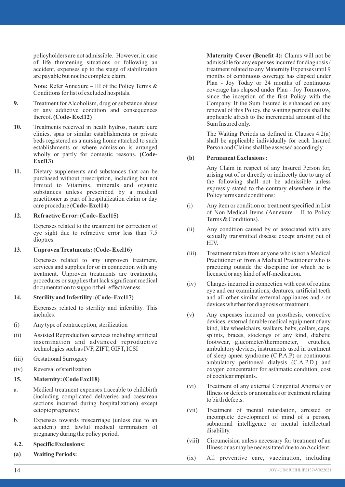policyholders are not admissible. However, in case of life threatening situations or following an accident, expenses up to the stage of stabilization are payable but not the complete claim.

**Note:** Refer Annexure – III of the Policy Terms & Conditions for list of excluded hospitals.

- **9.** Treatment for Alcoholism, drug or substance abuse or any addictive condition and consequences thereof.**(Code- Excl12)**
- **10.** Treatments received in heath hydros, nature cure clinics, spas or similar establishments or private beds registered as a nursing home attached to such establishments or where admission is arranged wholly or partly for domestic reasons. **(Code-Excl13)**
- **11.** Dietary supplements and substances that can be purchased without prescription, including but not limited to Vitamins, minerals and organic substances unless prescribed by a medical practitioner as part of hospitalization claim or day care procedure **(Code- Excl14)**

#### **12. Refractive Error: (Code- Excl15)**

Expenses related to the treatment for correction of eye sight due to refractive error less than 7.5 dioptres.

#### **13. Unproven Treatments: (Code- Excl16)**

Expenses related to any unproven treatment, services and supplies for or in connection with any treatment. Unproven treatments are treatments, procedures or supplies that lack significant medical documentation to support their effectiveness.

#### **14. Sterility and Infertility: (Code- Excl17)**

Expenses related to sterility and infertility. This includes:

- (i) Any type of contraception, sterilization
- (ii) Assisted Reproduction services including artificial insemination and advanced reproductive technologies such as IVF, ZIFT, GIFT, ICSI
- (iii) Gestational Surrogacy
- (iv) Reversal of sterilization

#### **15. Maternity: (Code Excl18)**

- a. Medical treatment expenses traceable to childbirth (including complicated deliveries and caesarean sections incurred during hospitalization) except ectopic pregnancy;
- b. Expenses towards miscarriage (unless due to an accident) and lawful medical termination of pregnancy during the policy period.

#### **4.2. Specific Exclusions:**

**(a) Waiting Periods:**

**Maternity Cover (Benefit 4):** Claims will not be admissible for any expenses incurred for diagnosis / treatment related to any Maternity Expenses until 9 months of continuous coverage has elapsed under Plan - Joy Today or 24 months of continuous coverage has elapsed under Plan - Joy Tomorrow, since the inception of the first Policy with the Company. If the Sum Insured is enhanced on any renewal of this Policy, the waiting periods shall be applicable afresh to the incremental amount of the Sum Insured only.

The Waiting Periods as defined in Clauses 4.2(a) shall be applicable individually for each Insured Person and Claims shall be assessed accordingly.

#### **(b) Permanent Exclusions :**

Any Claim in respect of any Insured Person for, arising out of or directly or indirectly due to any of the following shall not be admissible unless expressly stated to the contrary elsewhere in the Policy terms and conditions:

- (i) Any item or condition or treatment specified in List of Non-Medical Items (Annexure – II to Policy Terms & Conditions).
- (ii) Any condition caused by or associated with any sexually transmitted disease except arising out of HIV.
- (iii) Treatment taken from anyone who is not a Medical Practitioner or from a Medical Practitioner who is practicing outside the discipline for which he is licensed or any kind of self-medication.
- (iv) Charges incurred in connection with cost of routine eye and ear examinations, dentures, artificial teeth and all other similar external appliances and / or devices whether for diagnosis or treatment.
- (v) Any expenses incurred on prosthesis, corrective devices, external durable medical equipment of any kind, like wheelchairs, walkers, belts, collars, caps, splints, braces, stockings of any kind, diabetic footwear, glucometer/thermometer, crutches, ambulatory devices, instruments used in treatment of sleep apnea syndrome (C.P.A.P) or continuous ambulatory peritoneal dialysis (C.A.P.D.) and oxygen concentrator for asthmatic condition, cost of cochlear implants.
- (vi) Treatment of any external Congenital Anomaly or Illness or defects or anomalies or treatment relating to birth defects.
- (vii) Treatment of mental retardation, arrested or incomplete development of mind of a person, subnormal intelligence or mental intellectual disability.
- (viii) Circumcision unless necessary for treatment of an Illness or as may be necessitated due to an Accident.
- (ix) All preventive care, vaccination, including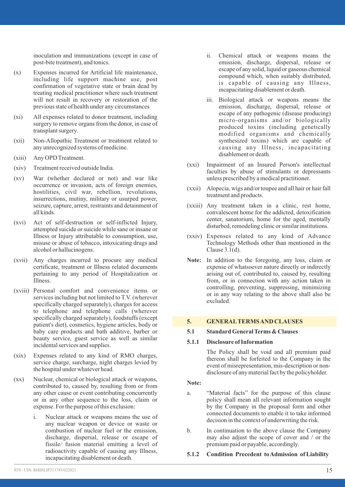inoculation and immunizations (except in case of post-bite treatment), and tonics.

- (x) Expenses incurred for Artificial life maintenance, including life support machine use, post confirmation of vegetative state or brain dead by treating medical practitioner where such treatment will not result in recovery or restoration of the previous state of health under any circumstances
- (xi) All expenses related to donor treatment, including surgery to remove organs from the donor, in case of transplant surgery.
- (xii) Non-Allopathic Treatment or treatment related to any unrecognized systems of medicine.
- (xiii) Any OPD Treatment.
- (xiv) Treatment received outside India.
- (xv) War (whether declared or not) and war like occurrence or invasion, acts of foreign enemies, hostilities, civil war, rebellion, revolutions, insurrections, mutiny, military or usurped power, seizure, capture, arrest, restraints and detainment of all kinds.
- (xvi) Act of self-destruction or self-inflicted Injury, attempted suicide or suicide while sane or insane or Illness or Injury attributable to consumption, use, misuse or abuse of tobacco, intoxicating drugs and alcohol or hallucinogens.
- (xvii) Any charges incurred to procure any medical certificate, treatment or Illness related documents pertaining to any period of Hospitalization or Illness.
- (xviii) Personal comfort and convenience items or services including but not limited to T.V. (wherever specifically charged separately), charges for access to telephone and telephone calls (wherever specifically charged separately), foodstuffs (except patient's diet), cosmetics, hygiene articles, body or baby care products and bath additive, barber or beauty service, guest service as well as similar incidental services and supplies.
- (xix) Expenses related to any kind of RMO charges, service charge, surcharge, night charges levied by the hospital under whatever head.
- (xx) Nuclear, chemical or biological attack or weapons, contributed to, caused by, resulting from or from any other cause or event contributing concurrently or in any other sequence to the loss, claim or expense. For the purpose of this exclusion:
	- i. Nuclear attack or weapons means the use of any nuclear weapon or device or waste or combustion of nuclear fuel or the emission, discharge, dispersal, release or escape of fissile/ fusion material emitting a level of radioactivity capable of causing any Illness, incapacitating disablement or death.
- ii. Chemical attack or weapons means the emission, discharge, dispersal, release or escape of any solid, liquid or gaseous chemical compound which, when suitably distributed, is capable of causing any Illness, incapacitating disablement or death.
- iii. Biological attack or weapons means the emission, discharge, dispersal, release or escape of any pathogenic (disease producing) micro-organisms and/or biologically produced toxins (including genetically modified organisms and chemically synthesized toxins) which are capable of causing any Illness, incapacitating disablement or death.
- (xxi) Impairment of an Insured Person's intellectual faculties by abuse of stimulants or depressants unless prescribed by a medical practitioner.
- (xxii) Alopecia, wigs and/or toupee and all hair or hair fall treatment and products.
- (xxiii) Any treatment taken in a clinic, rest home, convalescent home for the addicted, detoxification center, sanatorium, home for the aged, mentally disturbed, remodeling clinic or similar institutions.
- (xxiv) Expenses related to any kind of Advance Technology Methods other than mentioned in the Clause 3.1(d).
- **Note:** In addition to the foregoing, any loss, claim or expense of whatsoever nature directly or indirectly arising out of, contributed to, caused by, resulting from, or in connection with any action taken in controlling, preventing, suppressing, minimizing or in any way relating to the above shall also be excluded.

#### **5. GENERALTERMS AND CLAUSES**

#### **5.1 Standard General Terms & Clauses**

#### **5.1.1 Disclosure of Information**

The Policy shall be void and all premium paid thereon shall be forfeited to the Company in the event of misrepresentation, mis-description or nondisclosure of any material fact by the policyholder.

#### **Note:**

- a. "Material facts" for the purpose of this clause policy shall mean all relevant information sought by the Company in the proposal form and other connected documents to enable it to take informed decision in the context of underwriting the risk.
- b. In continuation to the above clause the Company may also adjust the scope of cover and / or the premium paid or payable, accordingly.
- **5.1.2 Condition Precedent to Admission of Liability**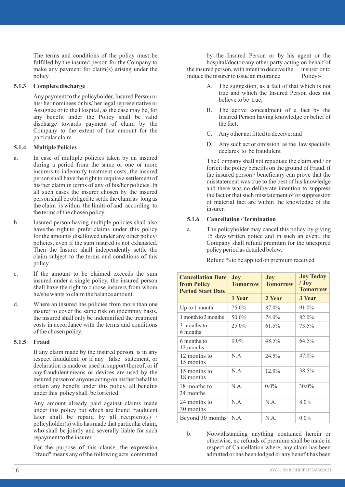The terms and conditions of the policy must be fulfilled by the insured person for the Company to make any payment for claim(s) arising under the policy.

#### **5.1.3 Complete discharge**

Any payment to the policyholder, Insured Person or his/ her nominees or his/ her legal representative or Assignee or to the Hospital, as the case may be, for any benefit under the Policy shall be valid discharge towards payment of claim by the Company to the extent of that amount for the particular claim.

#### **5.1.4 Multiple Policies**

- a. In case of multiple policies taken by an insured during a period from the same or one or more insurers to indemnify treatment costs, the insured person shall have the right to require a settlement of his/her claim in terms of any of his/her policies. In all such cases the insurer chosen by the insured person shall be obliged to settle the claim as long as the claim is within the limits of and according to the terms of the chosen policy.
- b. Insured person having multiple policies shall also have the right to prefer claims under this policy for the amounts disallowed under any other policy/ policies, even if the sum insured is not exhausted. Then the Insurer shall independently settle the claim subject to the terms and conditions of this policy.
- c. If the amount to be claimed exceeds the sum insured under a single policy, the insured person shall have the right to choose insurers from whom he/she wants to claim the balance amount.
- d. Where an insured has policies from more than one insurer to cover the same risk on indemnity basis, the insured shall only be indemnified the treatment costs in accordance with the terms and conditions of the chosen policy.

#### **5.1.5 Fraud**

If any claim made by the insured person, is in any respect fraudulent, or if any false statement, or declaration is made or used in support thereof, or if any fraudulent means or devices are used by the insured person or anyone acting on his/her behalf to obtain any benefit under this policy, all benefits under this policy shall be forfeited.

Any amount already paid against claims made under this policy but which are found fraudulent later shall be repaid by all recipient(s)  $/$ policyholder(s) who has made that particular claim, who shall be jointly and severally liable for such repayment to the insurer.

For the purpose of this clause, the expression "fraud" means any of the following acts committed

by the Insured Person or by his agent or the hospital/doctor/any other party acting on behalf of red person, with intent to deceive the insurer or to the insured person, with intent to deceive the insurer c<br>induce the insurer to issue an insurance Policy:induce the insurer to issue an insurance

- A. The suggestion, as a fact of that which is not true and which the Insured Person does not believe to be true;
- B. The active concealment of a fact by the Insured Person having knowledge or belief of the fact;
- C. Any other act fitted to deceive; and
- D. Any such act or omission as the law specially declares to be fraudulent

The Company shall not repudiate the claim and / or forfeit the policy benefits on the ground of Fraud, if the insured person / beneficiary can prove that the misstatement was true to the best of his knowledge and there was no deliberate intention to suppress the fact or that such misstatement of or suppression of material fact are within the knowledge of the insurer.

#### **5.1.6 Cancellation / Termination**

a. The policyholder may cancel this policy by giving 15 days'written notice and in such an event, the Company shall refund premium for the unexpired policy period as detailed below.

| <b>Cancellation Date</b><br>from Policy<br><b>Period Start Date</b> | Joy<br><b>Tomorrow</b> | Joy<br><b>Tomorrow</b> | <b>Joy Today</b><br>$/$ Joy<br><b>Tomorrow</b> |  |
|---------------------------------------------------------------------|------------------------|------------------------|------------------------------------------------|--|
|                                                                     | 1 Year                 | 2 Year                 | 3 Year                                         |  |
| Up to 1 month                                                       | 75.0%                  | 87.0%                  | 91.0%                                          |  |
| 1 month to 3 months                                                 | 50.0%                  | 74.0%                  | 82.0%                                          |  |
| 3 months to<br>6 months                                             | 25.0%                  | 61.5%                  | 73.5%                                          |  |
| 6 months to<br>12 months                                            | $0.0\%$                | 48.5%                  | 64.5%                                          |  |
| 12 months to<br>15 months                                           | N.A.                   | 24.5%                  | 47.0%                                          |  |
| 15 months to<br>18 months                                           | N.A.                   | 12.0%                  | 38.5%                                          |  |
| 18 months to<br>24 months                                           | N.A.                   | $0.0\%$                | $30.0\%$                                       |  |
| 24 months to<br>30 months                                           | N.A.                   | N.A.                   | 8.0%                                           |  |
| Beyond 30 months                                                    | N.A.                   | N.A.                   | $0.0\%$                                        |  |

b. Notwithstanding anything contained herein or otherwise, no refunds of premium shall be made in respect of Cancellation where, any claim has been admitted or has been lodged or any benefit has been

Refund % to be applied on premium received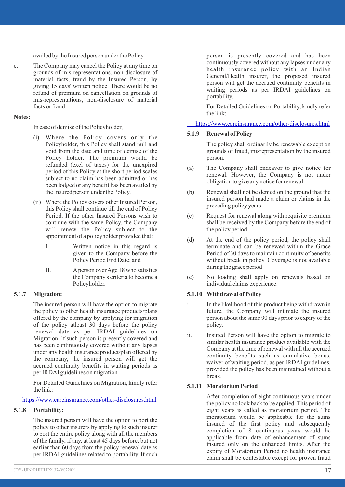availed by the Insured person under the Policy.

c. The Company may cancel the Policy at any time on grounds of mis-representations, non-disclosure of material facts, fraud by the Insured Person, by giving 15 days' written notice. There would be no refund of premium on cancellation on grounds of mis-representations, non-disclosure of material facts or fraud.

#### **Notes:**

In case of demise of the Policyholder,

- (i) Where the Policy covers only the Policyholder, this Policy shall stand null and void from the date and time of demise of the Policy holder. The premium would be refunded (excl of taxes) for the unexpired period of this Policy at the short period scales subject to no claim has been admitted or has been lodged or any benefit has been availed by the Insured person under the Policy.
- (ii) Where the Policy covers other Insured Person, this Policy shall continue till the end of Policy Period. If the other Insured Persons wish to continue with the same Policy, the Company will renew the Policy subject to the appointment of a policyholder provided that:
	- I. Written notice in this regard is given to the Company before the Policy Period End Date; and
	- II. Aperson over Age 18 who satisfies the Company's criteria to become a Policyholder.

#### **5.1.7 Migration:**

The insured person will have the option to migrate the policy to other health insurance products/plans offered by the company by applying for migration of the policy atleast 30 days before the policy renewal date as per IRDAI guidelines on Migration. lf such person is presently covered and has been continuously covered without any lapses under any health insurance product/plan offered by the company, the insured person will get the accrued continuity benefits in waiting periods as per IRDAI guidelines on migration

For Detailed Guidelines on Migration, kindly refer the link:

<https://www.careinsurance.com/other-disclosures.html>

#### **5.1.8 Portability:**

The insured person will have the option to port the policy to other insurers by applying to such insurer to port the entire policy along with all the members of the family, if any, at least 45 days before, but not earlier than 60 days from the policy renewal date as per IRDAI guidelines related to portability. lf such

person is presently covered and has been continuously covered without any lapses under any health insurance policy with an Indian General/Health insurer, the proposed insured person will get the accrued continuity benefits in waiting periods as per IRDAI guidelines on portability.

For Detailed Guidelines on Portability, kindly refer the link:

<https://www.careinsurance.com/other-disclosures.html>

#### **5.1.9 Renewal of Policy**

The policy shall ordinarily be renewable except on grounds of fraud, misrepresentation by the insured person.

- (a) The Company shall endeavor to give notice for renewal. However, the Company is not under obligation to give any notice for renewal.
- (b) Renewal shall not be denied on the ground that the insured person had made a claim or claims in the preceding policy years.
- (c) Request for renewal along with requisite premium shall be received by the Company before the end of the policy period.
- (d) At the end of the policy period, the policy shall terminate and can be renewed within the Grace Period of 30 days to maintain continuity of benefits without break in policy. Coverage is not available during the grace period
- (e) No loading shall apply on renewals based on individual claims experience.

#### **5.1.10 Withdrawal of Policy**

- i. In the likelihood of this product being withdrawn in future, the Company will intimate the insured person about the same 90 days prior to expiry of the policy.
- ii. Insured Person will have the option to migrate to similar health insurance product available with the Company at the time of renewal with all the accrued continuity benefits such as cumulative bonus, waiver of waiting period. as per IRDAI guidelines, provided the policy has been maintained without a break.

#### **5.1.11 Moratorium Period**

After completion of eight continuous years under the policy no look back to be applied. This period of eight years is called as moratorium period. The moratorium would be applicable for the sums insured of the first policy and subsequently completion of 8 continuous years would be applicable from date of enhancement of sums insured only on the enhanced limits. After the expiry of Moratorium Period no health insurance claim shall be contestable except for proven fraud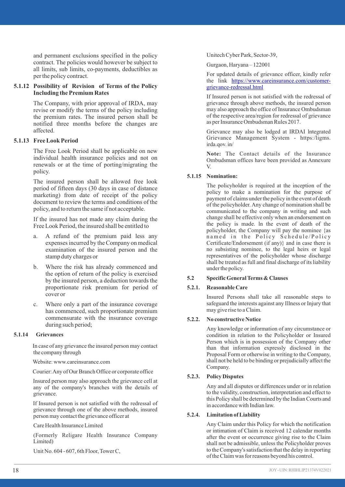and permanent exclusions specified in the policy contract. The policies would however be subject to all limits, sub limits, co-payments, deductibles as per the policy contract.

#### **5.1.12 Possibility of Revision of Terms of the Policy Including the Premium Rates**

The Company, with prior approval of IRDA, may revise or modify the terms of the policy including the premium rates. The insured person shall be notified three months before the changes are affected.

#### **5.1.13 Free Look Period**

The Free Look Period shall be applicable on new individual health insurance policies and not on renewals or at the time of porting/migrating the policy.

The insured person shall be allowed free look period of fifteen days (30 days in case of distance marketing) from date of receipt of the policy document to review the terms and conditions of the policy, and to return the same if not acceptable.

If the insured has not made any claim during the Free Look Period, the insured shall be entitled to

- a. A refund of the premium paid less any expenses incurred by the Company on medical examination of the insured person and the stamp duty charges or
- b. Where the risk has already commenced and the option of return of the policy is exercised by the insured person, a deduction towards the proportionate risk premium for period of cover or
- c. Where only a part of the insurance coverage has commenced, such proportionate premium commensurate with the insurance coverage during such period;

#### **5.1.14 Grievances**

In case of any grievance the insured person may contact the company through

Website: www.careinsurance.com

Courier: Any of Our Branch Office or corporate office

Insured person may also approach the grievance cell at any of the company's branches with the details of grievance.

If Insured person is not satisfied with the redressal of grievance through one of the above methods, insured person may contact the grievance officer at

Care Health Insurance Limited

(Formerly Religare Health Insurance Company Limited)

Unit No. 604 - 607, 6th Floor, Tower C,

Unitech Cyber Park, Sector-39,

Gurgaon, Haryana – 122001

For updated details of grievance officer, kindly refer the link [https://www.careinsurance.com/customer](https://www.careinsurance.com/customer-grievance-redressal.html)[grievance-redressal.html](https://www.careinsurance.com/customer-grievance-redressal.html)

If Insured person is not satisfied with the redressal of grievance through above methods, the insured person may also approach the office of Insurance Ombudsman of the respective area/region for redressal of grievance as per Insurance Ombudsman Rules 2017.

Grievance may also be lodged at IRDAI lntegrated Grievance Management System - https:/ligms. irda.qov. in/

**Note:** The Contact details of the Insurance Ombudsman offices have been provided as Annexure V.

#### **5.1.15 Nomination:**

The policyholder is required at the inception of the policy to make a nomination for the purpose of payment of claims under the policy in the event of death of the policyholder. Any change of nomination shall be communicated to the company in writing and such change shall be effective only when an endorsement on the policy is made. ln the event of death of the policyholder, the Company will pay the nominee {as named in the Policy Schedule/Policy Certificate/Endorsement (if any)} and in case there is no subsisting nominee, to the legal heirs or legal representatives of the policyholder whose discharge shall be treated as full and final discharge of its liability under the policy.

#### **5.2 Specific General Terms & Clauses**

#### **5.2.1. Reasonable Care**

Insured Persons shall take all reasonable steps to safeguard the interests against any Illness or Injury that may give rise to a Claim.

#### **5.2.2. No constructive Notice**

Any knowledge or information of any circumstance or condition in relation to the Policyholder or Insured Person which is in possession of the Company other than that information expressly disclosed in the Proposal Form or otherwise in writing to the Company, shall not be held to be binding or prejudicially affect the Company.

#### **5.2.3. Policy Disputes**

Any and all disputes or differences under or in relation to the validity, construction, interpretation and effect to this Policy shall be determined by the Indian Courts and in accordance with Indian law.

#### **5.2.4. Limitation of Liability**

Any Claim under this Policy for which the notification or intimation of Claim is received 12 calendar months after the event or occurrence giving rise to the Claim shall not be admissible, unless the Policyholder proves to the Company's satisfaction that the delay in reporting of the Claim was for reasons beyond his control.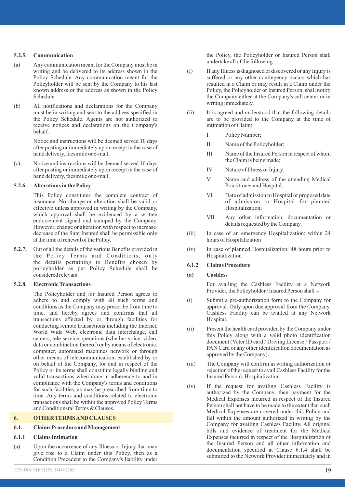#### **5.2.5. Communication**

- (a) Any communication meant for the Company must be in writing and be delivered to its address shown in the Policy Schedule. Any communication meant for the Policyholder will be sent by the Company to his last known address or the address as shown in the Policy Schedule.
- (b) All notifications and declarations for the Company must be in writing and sent to the address specified in the Policy Schedule. Agents are not authorized to receive notices and declarations on the Company's behalf.

Notice and instructions will be deemed served 10 days after posting or immediately upon receipt in the case of hand delivery, facsimile or e-mail.

(c) Notice and instructions will be deemed served 10 days after posting or immediately upon receipt in the case of hand delivery, facsimile or e-mail.

#### **5.2.6. Alterations in the Policy**

This Policy constitutes the complete contract of insurance. No change or alteration shall be valid or effective unless approved in writing by the Company, which approval shall be evidenced by a written endorsement signed and stamped by the Company. However, change or alteration with respect to increase/ decrease of the Sum Insured shall be permissible only at the time of renewal of the Policy.

**5.2.7.** Out of all the details of the various Benefits provided in the Policy Terms and Conditions, only the details pertaining to Benefits chosen by policyholder as per Policy Schedule shall be considered relevant

#### **5.2.8. Electronic Transactions**

The Policyholder and /or Insured Person agrees to adhere to and comply with all such terms and conditions as the Company may prescribe from time to time, and hereby agrees and confirms that all transactions effected by or through facilities for conducting remote transactions including the Internet, World Wide Web, electronic data interchange, call centers, tele-service operations (whether voice, video, data or combination thereof) or by means of electronic, computer, automated machines network or through other means of telecommunication, established by or on behalf of the Company, for and in respect of the Policy or its terms shall constitute legally binding and valid transactions when done in adherence to and in compliance with the Company's terms and conditions for such facilities, as may be prescribed from time to time. Any terms and conditions related to electronic transactions shall be within the approved Policy Terms and Conditionsral Terms & Clauses.

#### **6. OTHER TERMS AND CLAUSES**

#### **6.1. Claims Procedure and Management**

#### **6.1.1 Claims Intimation**

(a) Upon the occurrence of any Illness or Injury that may give rise to a Claim under this Policy, then as a Condition Precedent to the Company's liability under the Policy, the Policyholder or Insured Person shall undertake all of the following:

- (I) If any Illness is diagnosed or discovered or any Injury is suffered or any other contingency occurs which has resulted in a Claim or may result in a Claim under the Policy, the Policyholder or Insured Person, shall notify the Company either at the Company's call center or in writing immediately.
- (ii) It is agreed and understood that the following details are to be provided to the Company at the time of intimation of Claim:
	- I Policy Number;
	- II Name of the Policyholder;
	- III Name of the Insured Person in respect of whom the Claim is being made;
	- IV Nature of Illness or Injury;
	- V Name and address of the attending Medical Practitioner and Hospital;
	- VI Date of admission to Hospital or proposed date of admission to Hospital for planned Hospitalization;
	- VII Any other information, documentation or details requested by the Company.
- (iii) In case of an emergency Hospitalization: within 24 hours of Hospitalization
- (iv) In case of planned Hospitalization: 48 hours prior to Hospitalization

#### **6.1.2 Claims Procedure**

#### **(a) Cashless**

For availing the Cashless Facility at a Network Provider, the Policyholder / Insured Person shall :-

- (i) Submit a pre-authorization form to the Company for approval. Only upon due approval from the Company, Cashless Facility can be availed at any Network Hospital.
- (ii) Present the health card provided by the Company under this Policy along with a valid photo identification document (Voter ID card / Driving License / Passport / PAN Card or any other identification documentation as approved by the Company).
- (iii) The Company will confirm in writing authorization or rejection of the request to avail Cashless Facility for the Insured Person's Hospitalization.
- (iv) If the request for availing Cashless Facility is authorized by the Company, then payment for the Medical Expenses incurred in respect of the Insured Person shall not have to be made to the extent that such Medical Expenses are covered under this Policy and fall within the amount authorized in writing by the Company for availing Cashless Facility. All original bills and evidence of treatment for the Medical Expenses incurred in respect of the Hospitalization of the Insured Person and all other information and documentation specified at Clause 6.1.4 shall be submitted to the Network Provider immediately and in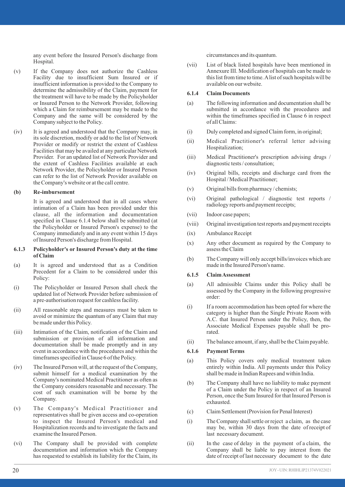any event before the Insured Person's discharge from Hospital.

- (v) If the Company does not authorize the Cashless Facility due to insufficient Sum Insured or if insufficient information is provided to the Company to determine the admissibility of the Claim, payment for the treatment will have to be made by the Policyholder or Insured Person to the Network Provider, following which a Claim for reimbursement may be made to the Company and the same will be considered by the Company subject to the Policy.
- (iv) It is agreed and understood that the Company may, in its sole discretion, modify or add to the list of Network Provider or modify or restrict the extent of Cashless Facilities that may be availed at any particular Network Provider. For an updated list of Network Provider and the extent of Cashless Facilities available at each Network Provider, the Policyholder or Insured Person can refer to the list of Network Provider available on the Company's website or at the call centre.

#### **(b) Re-imbursement**

It is agreed and understood that in all cases where intimation of a Claim has been provided under this clause, all the information and documentation specified in Clause 6.1.4 below shall be submitted (at the Policyholder or Insured Person's expense) to the Company immediately and in any event within 15 days of Insured Person's discharge from Hospital.

#### **6.1.3 Policyholder's or Insured Person's duty at the time of Claim**

- (a) It is agreed and understood that as a Condition Precedent for a Claim to be considered under this Policy:
- (i) The Policyholder or Insured Person shall check the updated list of Network Provider before submission of a pre-authorisation request for cashless facility.
- (ii) All reasonable steps and measures must be taken to avoid or minimize the quantum of any Claim that may be made under this Policy.
- (iii) Intimation of the Claim, notification of the Claim and submission or provision of all information and documentation shall be made promptly and in any event in accordance with the procedures and within the timeframes specified in Clause 6 of the Policy.
- (iv) The Insured Person will, at the request of the Company, submit himself for a medical examination by the Company's nominated Medical Practitioner as often as the Company considers reasonable and necessary. The cost of such examination will be borne by the Company.
- (v) The Company's Medical Practitioner and representatives shall be given access and co-operation to inspect the Insured Person's medical and Hospitalization records and to investigate the facts and examine the Insured Person.
- (vi) The Company shall be provided with complete documentation and information which the Company has requested to establish its liability for the Claim, its

circumstances and its quantum.

(vii) List of black listed hospitals have been mentioned in Annexure III. Modification of hospitals can be made to this list from time to time. Alist of such hospitals will be available on our website.

#### **6.1.4 Claim Documents**

- (a) The following information and documentation shall be submitted in accordance with the procedures and within the timeframes specified in Clause 6 in respect of all Claims:
- (i) Duly completed and signed Claim form, in original;
- (ii) Medical Practitioner's referral letter advising Hospitalization;
- (iii) Medical Practitioner's prescription advising drugs / diagnostic tests / consultation;
- (iv) Original bills, receipts and discharge card from the Hospital / Medical Practitioner;
- (v) Original bills from pharmacy / chemists;
- (vi) Original pathological / diagnostic test reports / radiology reports and payment receipts;
- (vii) Indoor case papers;
- (viii) Original investigation test reports and payment receipts
- (ix) Ambulance Receipt
- (x) Any other document as required by the Company to assess the Claim
- (b) The Company will only accept bills/invoices which are made in the Insured Person's name.

#### **6.1.5 Claim Assessment**

- (a) All admissible Claims under this Policy shall be assessed by the Company in the following progressive order:
- (i) If a room accommodation has been opted for where the category is higher than the Single Private Room with A.C. that Insured Person under the Policy, then, the Associate Medical Expenses payable shall be prorated.
- (ii) The balance amount, if any, shall be the Claim payable.

#### **6.1.6 Payment Terms**

- (a) This Policy covers only medical treatment taken entirely within India. All payments under this Policy shall be made in Indian Rupees and within India.
- (b) The Company shall have no liability to make payment of a Claim under the Policy in respect of an Insured Person, once the Sum Insured for that Insured Person is exhausted.
- (c) Claim Settlement (Provision for Penal Interest)
- (i) The Company shall settle or reject a claim, as the case may be, within 30 days from the date of receipt of last necessary document.
- (ii) In the case of delay in the payment of a claim, the Company shall be liable to pay interest from the date of receipt of last necessary document to the date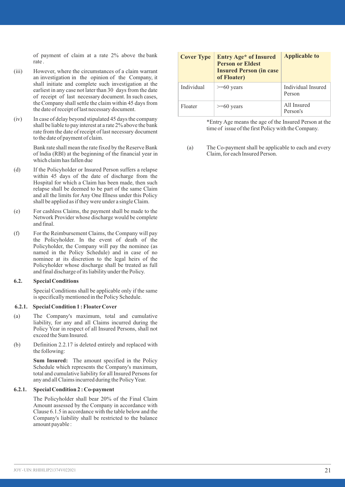of payment of claim at a rate 2% above the bank rate .

- (iii) However, where the circumstances of a claim warrant an investigation in the opinion of the Company, it shall initiate and complete such investigation at the earliest in any case not later than 30 days from the date of receipt of last necessary document. In such cases, the Company shall settle the claim within 45 days from the date of receipt of last necessary document.
- (iv) In case of delay beyond stipulated 45 days the company shall be liable to pay interest at a rate 2% above the bank rate from the date of receipt of last necessary document to the date of payment of claim.

Bank rate shall mean the rate fixed by the Reserve Bank of lndia (RBl) at the beginning of the financial year in which claim has fallen due

- (d) If the Policyholder or Insured Person suffers a relapse within 45 days of the date of discharge from the Hospital for which a Claim has been made, then such relapse shall be deemed to be part of the same Claim and all the limits for Any One Illness under this Policy shall be applied as if they were under a single Claim.
- (e) For cashless Claims, the payment shall be made to the Network Provider whose discharge would be complete and final.
- (f) For the Reimbursement Claims, the Company will pay the Policyholder. In the event of death of the Policyholder, the Company will pay the nominee (as named in the Policy Schedule) and in case of no nominee at its discretion to the legal heirs of the Policyholder whose discharge shall be treated as full and final discharge of its liability under the Policy.

#### **6.2. Special Conditions**

Special Conditions shall be applicable only if the same is specifically mentioned in the Policy Schedule.

#### **6.2.1. Special Condition 1 : FloaterCover**

- (a) The Company's maximum, total and cumulative liability, for any and all Claims incurred during the Policy Year in respect of all Insured Persons, shall not exceed the Sum Insured.
- (b) Definition 2.2.17 is deleted entirely and replaced with the following:

**Sum Insured:** The amount specified in the Policy Schedule which represents the Company's maximum. total and cumulative liability for all Insured Persons for any and all Claims incurred during the Policy Year.

#### **6.2.1. Special Condition 2 : Co-payment**

The Policyholder shall bear 20% of the Final Claim Amount assessed by the Company in accordance with Clause 6.1.5 in accordance with the table below and the Company's liability shall be restricted to the balance amount payable :

| <b>Cover Type</b> | Entry Age* of Insured<br><b>Person or Eldest</b><br><b>Insured Person (in case</b><br>of Floater) | <b>Applicable to</b>         |
|-------------------|---------------------------------------------------------------------------------------------------|------------------------------|
| Individual        | $>= 60$ vears                                                                                     | Individual Insured<br>Person |
| Floater           | $>= 60$ years                                                                                     | All Insured<br>Person's      |

\*Entry Age means the age of the Insured Person at the time of issue of the first Policy with the Company.

(a) The Co-payment shall be applicable to each and every Claim, for each Insured Person.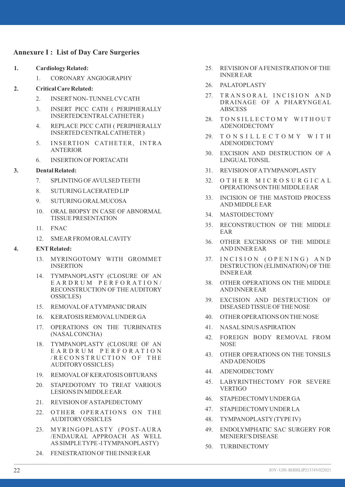#### **Annexure I : List of Day Care Surgeries**

- **1. Cardiology Related:**
	- 1. CORONARY ANGIOGRAPHY
- **2. Critical Care Related:**
	- 2. INSERTNON- TUNNELCVCATH
	- 3. INSERT PICC CATH ( PERIPHERALLY INSERTEDCENTRALCATHETER )
	- 4. REPLACE PICC CATH ( PERIPHERALLY INSERTED CENTRALCATHETER )
	- 5. INSERTION CATHETER, INTRA ANTERIOR
	- 6. INSERTION OF PORTACATH

#### **3. Dental Related:**

- 7. SPLINTING OF AVULSED TEETH
- 8. SUTURING LACERATED LIP
- 9. SUTURING ORALMUCOSA
- 10. ORAL BIOPSY IN CASE OF ABNORMAL TISSUE PRESENTATION
- 11. FNAC
- 12. SMEAR FROM ORALCAVITY

#### **4. ENTRelated:**

- 13. MYRINGOTOMY WITH GROMMET INSERTION
- 14. TYMPANOPLASTY (CLOSURE OF AN E A R D R U M P E R F O R A T I O N / RECONSTRUCTION OF THE AUDITORY OSSICLES)
- 15. REMOVALOF ATYMPANIC DRAIN
- 16. KERATOSIS REMOVALUNDER GA
- 17. OPERATIONS ON THE TURBINATES (NASALCONCHA)
- 18. TYMPANOPLASTY (CLOSURE OF AN E A R D R U M P E R F O R A T I O N / R E C O N S T R U C T I O N O F T H E AUDITORYOSSICLES)
- 19. REMOVALOF KERATOSIS OBTURANS
- 20. STAPEDOTOMY TO TREAT VARIOUS LESIONS IN MIDDLE EAR
- 21. REVISION OF ASTAPEDECTOMY
- 22. OTHER OPERATIONS ON THE AUDITORYOSSICLES
- 23. MYRINGOPLASTY (POST-AURA /ENDAURAL APPROACH AS WELL AS SIMPLE TYPE -I TYMPANOPLASTY)
- 24. FENESTRATION OF THE INNER EAR
- 25. REVISION OF AFENESTRATION OF THE INNER EAR
- 26. PALATOPLASTY
- 27. TRANSORAL INCISION AND DRAINAGE OF A PHARYNGEAL **ABSCESS**
- 28. TONSILLECTOMY WITHOUT ADENOIDECTOMY
- 29. TONSILLECTOMY WITH ADENOIDECTOMY
- 30. EXCISION AND DESTRUCTION OF A LINGUALTONSIL
- 31. REVISION OF ATYMPANOPLASTY
- 32. OTHER MICROSURGICAL OPERATIONS ON THE MIDDLE EAR
- 33. INCISION OF THE MASTOID PROCESS AND MIDDLE EAR
- 34. MASTOIDECTOMY
- 35. RECONSTRUCTION OF THE MIDDLE EAR
- 36. OTHER EXCISIONS OF THE MIDDLE AND INNER EAR
- 37. INCISION (OPENING) AND DESTRUCTION (ELIMINATION) OF THE INNER EAR
- 38. OTHER OPERATIONS ON THE MIDDLE AND INNER EAR
- 39. EXCISION AND DESTRUCTION OF DISEASED TISSUE OF THE NOSE
- 40. OTHER OPERATIONS ON THE NOSE
- 41. NASALSINUS ASPIRATION
- 42. FOREIGN BODY REMOVAL FROM **NOSE**
- 43. OTHER OPERATIONS ON THE TONSILS AND ADENOIDS
- 44. ADENOIDECTOMY
- 45. LABYRINTHECTOMY FOR SEVERE **VERTIGO**
- 46. STAPEDECTOMYUNDER GA
- 47. STAPEDECTOMYUNDER LA
- 48. TYMPANOPLASTY(TYPE IV)
- 49. ENDOLYMPHATIC SAC SURGERY FOR MENIERE'S DISEASE
- 50. TURBINECTOMY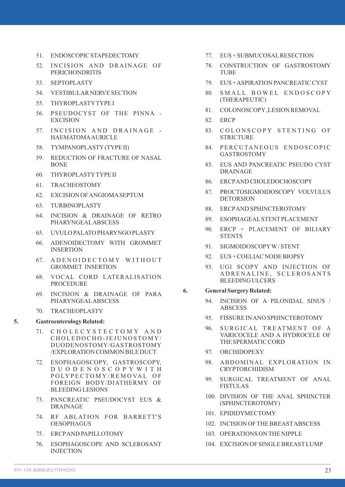- 51. ENDOSCOPIC STAPEDECTOMY
- 52. INCISION AND DRAINAGE OF PERICHONDRITIS
- 53. SEPTOPLASTY
- 54. VESTIBULAR NERVE SECTION
- 55. THYROPLASTYTYPE I
- 56. PSEUDOCYST OF THE PINNA EXCISION
- 57. INCISION AND DRAINAGE -HAEMATOMAAURICLE
- 58. TYMPANOPLASTY(TYPE II)
- 59. REDUCTION OF FRACTURE OF NASAL BONE
- 60. THYROPLASTYTYPE II
- 61. TRACHEOSTOMY
- 62. EXCISION OF ANGIOMASEPTUM
- 63. TURBINOPLASTY
- 64. INCISION & DRAINAGE OF RETRO PHARYNGEALABSCESS
- 65. UVULO PALATO PHARYNGO PLASTY
- 66. ADENOIDECTOMY WITH GROMMET INSERTION
- 67. A DENOIDECTOMY WITHOUT GROMMET INSERTION
- 68. VOCAL CORD LATERALISATION PROCEDURE
- 69. INCISION & DRAINAGE OF PARA PHARYNGEALABSCESS
- 70. TRACHEOPLASTY

#### **5. Gastroenterology Related:**

- 71. C H O L E C Y S T E C T O M Y A N D CHOLEDOCHO-JEJUNOSTOMY/ DUODENOSTOMY/GASTROSTOMY /EXPLORATION COMMON BILE DUCT
- 72. ESOPHAGOSCOPY, GASTROSCOPY, D U O D E N O S C O P Y W I T H POLY PECTOMY/REMOVAL OF FOREIGN BODY/DIATHERMY OF BLEEDING LESIONS
- 73. PANCREATIC PSEUDOCYST EUS & DRAINAGE
- 74. RF ABLATION FOR BARRETT'S OESOPHAGUS
- 75. ERCPAND PAPILLOTOMY
- 76. ESOPHAGOSCOPE AND SCLEROSANT INJECTION
- 77. EUS + SUBMUCOSALRESECTION
- 78. CONSTRUCTION OF GASTROSTOMY TUBE
- 79. EUS + ASPIRATION PANCREATIC CYST
- 80. SMALL BOWEL ENDOSCOPY (THERAPEUTIC)
- 81. COLONOSCOPY,LESION REMOVAL
- 82. ERCP
- 83. COLONSCOPY STENTING OF **STRICTURE**
- 84. PERCUTANEOUS ENDOSCOPIC GASTROSTOMY
- 85. EUS AND PANCREATIC PSEUDO CYST DRAINAGE
- 86. ERCPAND CHOLEDOCHOSCOPY
- 87. PROCTOSIGMOIDOSCOPY VOLVULUS DETORSION
- 88. ERCPAND SPHINCTEROTOMY
- 89. ESOPHAGEALSTENTPLACEMENT
- 90. ERCP + PLACEMENT OF BILIARY **STENTS**
- 91. SIGMOIDOSCOPYW/ STENT
- 92. EUS + COELIAC NODE BIOPSY
- 93. UGI SCOPY AND INJECTION OF A D R E N A L I N E , S C L E R O S A N T S BLEEDING ULCERS
- **6. General Surgery Related:**
	- 94. INCISION OF A PILONIDAL SINUS / ABSCESS
	- 95. FISSURE IN ANO SPHINCTEROTOMY
	- 96. SURGICAL TREATMENT OF A VARICOCELE AND A HYDROCELE OF THE SPERMATIC CORD
	- 97. ORCHIDOPEXY
	- 98. ABDOMINAL EXPLORATION IN CRYPTORCHIDISM
	- 99. SURGICAL TREATMENT OF ANAL FISTULAS
	- 100. DIVISION OF THE ANAL SPHINCTER (SPHINCTEROTOMY)
	- 101. EPIDIDYMECTOMY
	- 102. INCISION OF THE BREASTABSCESS
	- 103. OPERATIONS ON THE NIPPLE
	- 104. EXCISION OF SINGLE BREASTLUMP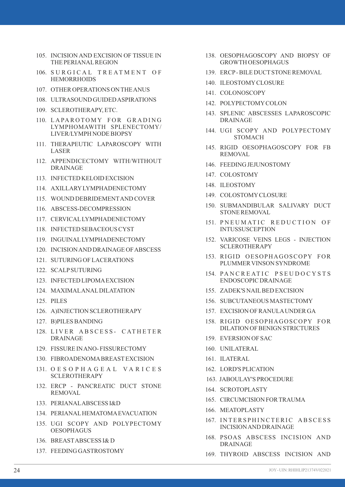- 105. INCISION AND EXCISION OF TISSUE IN THE PERIANALREGION
- 106. SURGICAL TREATMENT OF **HEMORRHOIDS**
- 107. OTHER OPERATIONS ON THE ANUS
- 108. ULTRASOUND GUIDED ASPIRATIONS
- 109. SCLEROTHERAPY, ETC.
- 110. LAPAROTOMY FOR GRADING LYMPHOMAWITH SPLENECTOMY/ LIVER/LYMPH NODE BIOPSY
- 111. THERAPEUTIC LAPAROSCOPY WITH LASER
- 112. APPENDICECTOMY WITH/WITHOUT DRAINAGE
- 113. INFECTED KELOID EXCISION
- 114. AXILLARYLYMPHADENECTOMY
- 115. WOUND DEBRIDEMENTAND COVER
- 116. ABSCESS-DECOMPRESSION
- 117. CERVICALLYMPHADENECTOMY
- 118. INFECTED SEBACEOUS CYST
- 119. INGUINALLYMPHADENECTOMY
- 120. INCISION AND DRAINAGE OF ABSCESS
- 121. SUTURING OF LACERATIONS
- 122. SCALPSUTURING
- 123. INFECTED LIPOMAEXCISION
- 124. MAXIMALANALDILATATION
- 125. PILES
- 126. A)INJECTION SCLEROTHERAPY
- 127. B)PILES BANDING
- 128. LIVER ABSCESS- CATHETER DRAINAGE
- 129. FISSURE IN ANO- FISSURECTOMY
- 130. FIBROADENOMABREASTEXCISION
- 131. O E S O P H A G E A L V A R I C E S SCLEROTHERAPY
- 132. ERCP PANCREATIC DUCT STONE REMOVAL
- 133. PERIANALABSCESS I&D
- 134. PERIANALHEMATOMAEVACUATION
- 135. UGI SCOPY AND POLYPECTOMY OESOPHAGUS
- 136. BREASTABSCESS I& D
- 137. FEEDING GASTROSTOMY
- 138. OESOPHAGOSCOPY AND BIOPSY OF GROWTH OESOPHAGUS
- 139. ERCP- BILE DUCTSTONE REMOVAL
- 140. ILEOSTOMYCLOSURE
- 141. COLONOSCOPY
- 142. POLYPECTOMYCOLON
- 143. SPLENIC ABSCESSES LAPAROSCOPIC DRAINAGE
- 144. UGI SCOPY AND POLYPECTOMY **STOMACH**
- 145. RIGID OESOPHAGOSCOPY FOR FB REMOVAL
- 146. FEEDING JEJUNOSTOMY
- 147. COLOSTOMY
- 148. ILEOSTOMY
- 149. COLOSTOMYCLOSURE
- 150. SUBMANDIBULAR SALIVARY DUCT STONE REMOVAL
- 151. PNEUMATIC REDUCTION OF **INTUSSUSCEPTION**
- 152. VARICOSE VEINS LEGS INJECTION SCLEROTHERAPY
- 153. RIGID OESOPHAGOSCOPY FOR PLUMMER VINSON SYNDROME
- 154. PAN CREATIC PSEUDOCYSTS ENDOSCOPIC DRAINAGE
- 155. ZADEK'S NAILBED EXCISION
- 156. SUBCUTANEOUS MASTECTOMY
- 157. EXCISION OF RANULAUNDER GA
- 158. RIGID OESOPHAGOSCOPY FOR DILATION OF BENIGN STRICTURES
- 159. EVERSION OF SAC
- 160. UNILATERAL
- 161. ILATERAL
- 162. LORD'S PLICATION
- 163. JABOULAY'S PROCEDURE
- 164. SCROTOPLASTY
- 165. CIRCUMCISION FOR TRAUMA
- 166. MEATOPLASTY
- 167. INTERSPHINCTERIC ABSCESS INCISION AND DRAINAGE
- 168. PSOAS ABSCESS INCISION AND DRAINAGE
- 169. THYROID ABSCESS INCISION AND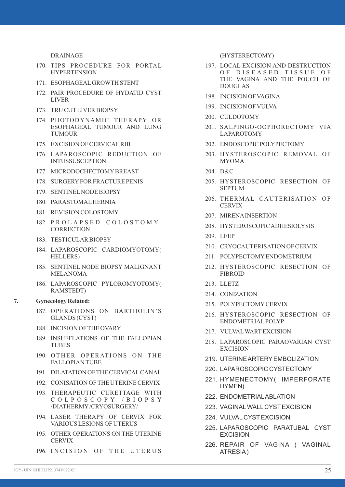DRAINAGE

- 170. TIPS PROCEDURE FOR PORTAL **HYPERTENSION**
- 171. ESOPHAGEALGROWTH STENT
- 172. PAIR PROCEDURE OF HYDATID CYST LIVER
- 173. TRU CUTLIVER BIOPSY
- 174. PHOTODYNAMIC THERAPY OR ESOPHAGEAL TUMOUR AND LUNG TUMOUR
- 175. EXCISION OF CERVICALRIB
- 176. LAPAROSCOPIC REDUCTION OF **INTUSSUSCEPTION**
- 177. MICRODOCHECTOMYBREAST
- 178. SURGERYFOR FRACTURE PENIS
- 179. SENTINELNODE BIOPSY
- 180. PARASTOMALHERNIA
- 181. REVISION COLOSTOMY
- 182. PROLAPSED COLOSTOMY-**CORRECTION**
- 183. TESTICULAR BIOPSY
- 184. LAPAROSCOPIC CARDIOMYOTOMY( HELLERS)
- 185. SENTINEL NODE BIOPSY MALIGNANT MELANOMA
- 186. LAPAROSCOPIC PYLOROMYOTOMY( RAMSTEDT)

#### **7. Gynecology Related:**

- 187. OPERATIONS ON BARTHOLIN'S GLANDS (CYST)
- 188. INCISION OF THE OVARY
- 189. INSUFFLATIONS OF THE FALLOPIAN TUBES
- 190. OTHER OPERATIONS ON THE FALLOPIAN TUBE
- 191. DILATATION OF THE CERVICALCANAL
- 192. CONISATION OF THE UTERINE CERVIX
- 193. THERAPEUTIC CURETTAGE WITH C O L P O S C O P Y / B I O P S Y /DIATHERMY/CRYOSURGERY/
- 194. LASER THERAPY OF CERVIX FOR VARIOUS LESIONS OF UTERUS
- 195. OTHER OPERATIONS ON THE UTERINE **CERVIX**
- 196. INCISION OF THE UTERUS

(HYSTERECTOMY)

- 197. LOCAL EXCISION AND DESTRUCTION OF DISEASED TISSUE OF THE VAGINA AND THE POUCH OF DOUGLAS
- 198. INCISION OF VAGINA
- 199. INCISION OF VULVA
- 200. CULDOTOMY
- 201. SALPINGO-OOPHORECTOMY VIA LAPAROTOMY
- 202. ENDOSCOPIC POLYPECTOMY
- 203. HYSTEROSCOPIC REMOVAL OF MYOMA
- 204. D&C
- 205. HYSTEROSCOPIC RESECTION OF SEPTUM
- 206. THERMAL CAUTERISATION OF **CERVIX**
- 207. MIRENAINSERTION
- 208. HYSTEROSCOPIC ADHESIOLYSIS
- 209. LEEP
- 210. CRYOCAUTERISATION OF CERVIX
- 211. POLYPECTOMYENDOMETRIUM
- 212. HYSTEROSCOPIC RESECTION OF FIBROID
- 213. LLETZ
- 214. CONIZATION
- 215. POLYPECTOMYCERVIX
- 216. HYSTEROSCOPIC RESECTION OF ENDOMETRIALPOLYP
- 217. VULVALWARTEXCISION
- 218. LAPAROSCOPIC PARAOVARIAN CYST EXCISION
- 219. UTERINE ARTERYEMBOLIZATION
- 220. LAPAROSCOPIC CYSTECTOMY
- 221. HYMENECTOMY( IMPERFORATE HYMEN)
- 222. ENDOMETRIALABLATION
- 223. VAGINALWALLCYSTEXCISION
- 224. VULVALCYSTEXCISION
- 225. LAPAROSCOPIC PARATUBAL CYST EXCISION
- 226. REPAIR OF VAGINA ( VAGINAL ATRESIA)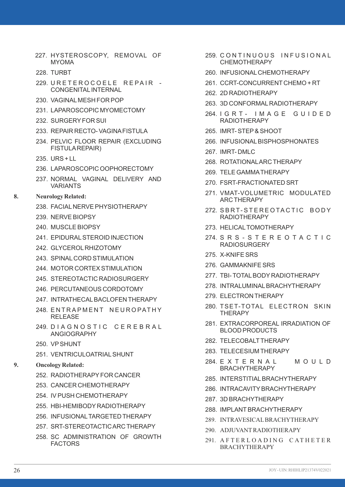- 227. HYSTEROSCOPY, REMOVAL OF MYOMA
- 228. TURBT
- 229. URETEROCOELE REPAIR -CONGENITAL INTERNAL
- 230. VAGINALMESH FOR POP
- 231. LAPAROSCOPIC MYOMECTOMY
- 232. SURGERYFOR SUI
- 233. REPAIR RECTO- VAGINAFISTULA
- 234. PELVIC FLOOR REPAIR (EXCLUDING FISTULAREPAIR)
- 235. URS + LL
- 236. LAPAROSCOPIC OOPHORECTOMY
- 237. NORMAL VAGINAL DELIVERY AND VARIANTS
- **8. Neurology Related:**
	- 238. FACIALNERVE PHYSIOTHERAPY
	- 239. NERVE BIOPSY
	- 240. MUSCLE BIOPSY
	- 241. EPIDURAL STEROID INJECTION
	- 242. GLYCEROLRHIZOTOMY
	- 243. SPINALCORD STIMULATION
	- 244. MOTOR CORTEX STIMULATION
	- 245. STEREOTACTIC RADIOSURGERY
	- 246. PERCUTANEOUS CORDOTOMY
	- 247. INTRATHECALBACLOFEN THERAPY
	- 248. ENTRAPMENT NEUROPATHY RELEASE
	- 249. DIA GNOSTIC CEREBRAL ANGIOGRAPHY
	- 250. VPSHUNT
	- 251. VENTRICULOATRIALSHUNT

#### **9. Oncology Related:**

- 252. RADIOTHERAPYFOR CANCER
- 253. CANCER CHEMOTHERAPY
- 254. IV PUSH CHEMOTHERAPY
- 255. HBI-HEMIBODY RADIOTHERAPY
- 256. INFUSIONALTARGETED THERAPY
- 257. SRT-STEREOTACTIC ARC THERAPY
- 258. SC ADMINISTRATION OF GROWTH **FACTORS**
- 259. CONTINUOUS INFUSIONAL CHEMOTHERAPY
- 260. INFUSIONALCHEMOTHERAPY
- 261. CCRT-CONCURRENT CHEMO + RT
- 262. 2D RADIOTHERAPY
- 263. 3D CONFORMALRADIOTHERAPY
- 264. I G R T I M A G E G U I D E D RADIOTHERAPY
- 265. IMRT- STEP& SHOOT
- 266. INFUSIONALBISPHOSPHONATES
- 267. IMRT- DMLC
- 268. ROTATIONALARC THERAPY
- 269. TELE GAMMATHERAPY
- 270. FSRT-FRACTIONATED SRT
- 271. VMAT-VOLUMETRIC MODULATED ARC THERAPY
- 272. SBRT-STEREOTACTIC BODY RADIOTHERAPY
- 273. HELICALTOMOTHERAPY
- 274. S R S S T E R E O T A C T I C RADIOSURGERY
- 275. X-KNIFE SRS
- 276. GAMMAKNIFE SRS
- 277. TBI- TOTALBODY RADIOTHERAPY
- 278. INTRALUMINALBRACHYTHERAPY
- 279. ELECTRON THERAPY
- 280. TSET-TOTAL ELECTRON SKIN **THERAPY**
- 281. EXTRACORPOREAL IRRADIATION OF BLOOD PRODUCTS
- 282. TELECOBALTTHERAPY
- 283. TELECESIUM THERAPY
- 284. E X T E R N A L M O U L D BRACHYTHERAPY
- 285. INTERSTITIALBRACHYTHERAPY
- 286. INTRACAVITYBRACHYTHERAPY
- 287. 3D BRACHYTHERAPY
- 288. IMPLANTBRACHYTHERAPY
- 289. INTRAVESICALBRACHYTHERAPY
- 290. ADJUVANTRADIOTHERAPY
- 291. AFTERLOADING CATHETER BRACHYTHERAPY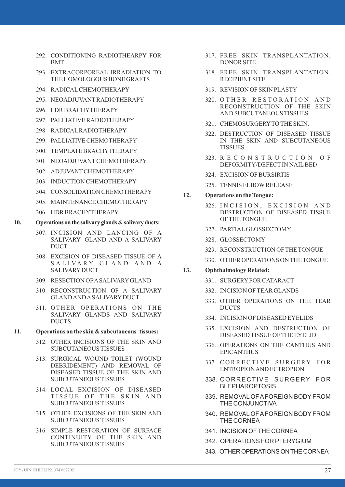- 292. CONDITIONING RADIOTHEARPY FOR BMT
- 293. EXTRACORPOREAL IRRADIATION TO THE HOMOLOGOUS BONE GRAFTS
- 294. RADICALCHEMOTHERAPY
- 295. NEOADJUVANTRADIOTHERAPY
- 296. LDR BRACHYTHERAPY
- 297. PALLIATIVE RADIOTHERAPY
- 298. RADICALRADIOTHERAPY
- 299. PALLIATIVE CHEMOTHERAPY
- 300. TEMPLATE BRACHYTHERAPY
- 301. NEOADJUVANTCHEMOTHERAPY
- 302. ADJUVANTCHEMOTHERAPY
- 303. INDUCTION CHEMOTHERAPY
- 304. CONSOLIDATION CHEMOTHERAPY
- 305. MAINTENANCE CHEMOTHERAPY
- 306. HDR BRACHYTHERAPY

#### **10. Operations on the salivary glands & salivary ducts:**

- 307. INCISION AND LANCING OF A SALIVARY GLAND AND A SALIVARY DUCT
- 308. EXCISION OF DISEASED TISSUE OF A SALIVARY GLAND AND A **SALIVARY DUCT**
- 309. RESECTION OF ASALIVARYGLAND
- 310. RECONSTRUCTION OF A SALIVARY GLAND AND ASALIVARYDUCT
- 311. OTHER OPERATIONS ON THE SALIVARY GLANDS AND SALIVARY DUCTS

#### **11. Operations on the skin & subcutaneous tissues:**

- 312. OTHER INCISIONS OF THE SKIN AND SUBCUTANEOUS TISSUES
- 313. SURGICAL WOUND TOILET (WOUND DEBRIDEMENT) AND REMOVAL OF DISEASED TISSUE OF THE SKIN AND SUBCUTANEOUS TISSUES
- 314. LOCAL EXCISION OF DISEASED TISSUE OF THE SKIN AND SUBCUTANEOUS TISSUES
- 315. OTHER EXCISIONS OF THE SKIN AND SUBCUTANEOUS TISSUES
- 316. SIMPLE RESTORATION OF SURFACE CONTINUITY OF THE SKIN AND SUBCUTANEOUS TISSUES
- 317. FREE SKIN TRANSPLANTATION, DONOR SITE
- 318. FREE SKIN TRANSPLANTATION, RECIPIENTSITE
- 319. REVISION OF SKIN PLASTY
- 320. OTHER RESTORATION AND RECONSTRUCTION OF THE SKIN AND SUBCUTANEOUS TISSUES.
- 321. CHEMOSURGERYTO THE SKIN.
- 322. DESTRUCTION OF DISEASED TISSUE IN THE SKIN AND SUBCUTANEOUS **TISSUES**
- 323. R E C O N S T R U C T I O N O F DEFORMITY/DEFECTIN NAILBED
- 324. EXCISION OF BURSIRTIS
- 325. TENNIS ELBOWRELEASE

#### **12. Operations on the Tongue:**

- 326. INCISION, EXCISION AND DESTRUCTION OF DISEASED TISSUE OF THE TONGUE
- 327. PARTIALGLOSSECTOMY
- 328. GLOSSECTOMY
- 329. RECONSTRUCTION OF THE TONGUE
- 330. OTHER OPERATIONS ON THE TONGUE

#### **13. Ophthalmology Related:**

- 331. SURGERYFOR CATARACT
- 332. INCISION OF TEAR GLANDS
- 333. OTHER OPERATIONS ON THE TEAR DUCTS
- 334. INCISION OF DISEASED EYELIDS
- 335. EXCISION AND DESTRUCTION OF DISEASED TISSUE OF THE EYELID
- 336. OPERATIONS ON THE CANTHUS AND EPICANTHUS
- 337. CORRECTIVE SURGERY FOR ENTROPION AND ECTROPION
- 338. CORRECTIVE SURGERY FOR BLEPHAROPTOSIS
- 339. REMOVALOF AFOREIGN BODYFROM THE CONJUNCTIVA
- 340. REMOVALOF AFOREIGN BODYFROM THE CORNEA
- 341. INCISION OF THE CORNEA
- 342. OPERATIONS FOR PTERYGIUM
- 343. OTHER OPERATIONS ON THE CORNEA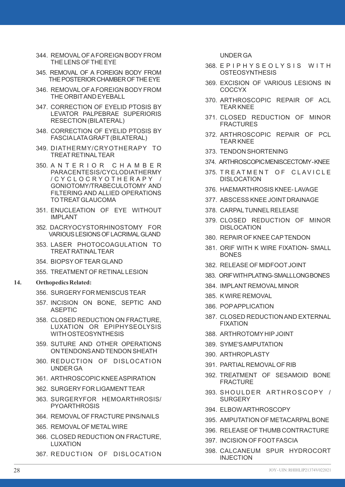- 344. REMOVALOF AFOREIGN BODYFROM THE LENS OF THE EYE
- 345. REMOVAL OF A FOREIGN BODY FROM THE POSTERIOR CHAMBER OF THE EYE
- 346. REMOVALOF AFOREIGN BODYFROM THE ORBITAND EYEBALL
- 347. CORRECTION OF EYELID PTOSIS BY LEVATOR PALPEBRAE SUPERIORIS RESECTION (BILATERAL)
- 348. CORRECTION OF EYELID PTOSIS BY FASCIALATAGRAFT(BILATERAL)
- 349. DIATHERMY/CRYOTHERAPY TO TREAT RETINALTEAR
- 350. A N T E R I O R C H A M B E R PARACENTESIS/CYCLODIATHERMY / C Y C L O C R Y O T H E R A P Y / GONIOTOMY/TRABECULOTOMY AND FILTERING AND ALLIED OPERATIONS TO TREATGLAUCOMA
- 351. ENUCLEATION OF EYE WITHOUT **IMPI ANT**
- 352. DACRYOCYSTORHINOSTOMY FOR VARIOUS LESIONS OF LACRIMAL GLAND
- 353. LASER PHOTOCOAGULATION TO TRFAT RATINAL TFAR
- 354. BIOPSYOF TEAR GLAND
- 355. TREATMENTOF RETINALLESION
- **14. Orthopedics Related:**
	- 356. SURGERYFOR MENISCUS TEAR
	- 357. INCISION ON BONE, SEPTIC AND ASEPTIC
	- 358. CLOSED REDUCTION ON FRACTURE, LUXATION OR EPIPHYSEOLYSIS WITH OSTEOSYNTHESIS
	- 359. SUTURE AND OTHER OPERATIONS ON TENDONS AND TENDON SHEATH
	- 360. REDUCTION OF DISLOCATION UNDER GA
	- 361. ARTHROSCOPIC KNEE ASPIRATION
	- 362. SURGERYFOR LIGAMENTTEAR
	- 363. SURGERYFOR HEMOARTHROSIS/ PYOARTHROSIS
	- 364. REMOVALOF FRACTURE PINS/NAILS
	- 365. REMOVALOF METALWIRE
	- 366. CLOSED REDUCTION ON FRACTURE, LUXATION
	- 367. REDUCTION OF DISLOCATION

UNDER GA

- 368. E P I P H Y S E O L Y S I S W I T H **OSTEOSYNTHESIS**
- 369. EXCISION OF VARIOUS LESIONS IN COCCYX
- 370. ARTHROSCOPIC REPAIR OF ACL TEAR KNEE
- 371. CLOSED REDUCTION OF MINOR FRACTURES
- 372. ARTHROSCOPIC REPAIR OF PCL TEAR KNEE
- 373. TENDON SHORTENING
- 374. ARTHROSCOPIC MENISCECTOMY- KNEE
- 375. TREATMENT OF CLAVICLE DISLOCATION
- 376. HAEMARTHROSIS KNEE- LAVAGE
- 377. ABSCESS KNEE JOINT DRAINAGE
- 378. CARPALTUNNELRELEASE
- 379. CLOSED REDUCTION OF MINOR DISLOCATION
- 380. REPAIR OF KNEE CAPTENDON
- 381. ORIF WITH K WIRE FIXATION- SMALL BONES
- 382. RELEASE OF MIDFOOTJOINT
- 383. ORIF WITH PLATING- SMALLLONG BONES
- 384. IMPLANT REMOVALMINOR
- 385. K WIRE REMOVAL
- 386. POPAPPLICATION
- 387. CLOSED REDUCTION AND EXTERNAL FIXATION
- 388. ARTHROTOMY HIPJOINT
- 389. SYME'S AMPUTATION
- 390. ARTHROPLASTY
- 391. PARTIALREMOVALOF RIB
- 392. TREATMENT OF SESAMOID BONE FRACTURE
- 393. SHOULDER ARTHROSCOPY / **SURGERY**
- 394. ELBOW ARTHROSCOPY
- 395. AMPUTATION OF METACARPALBONE
- 396. RELEASE OF THUMB CONTRACTURE
- 397. INCISION OF FOOTFASCIA
- 398. CALCANEUM SPUR HYDROCORT INJECTION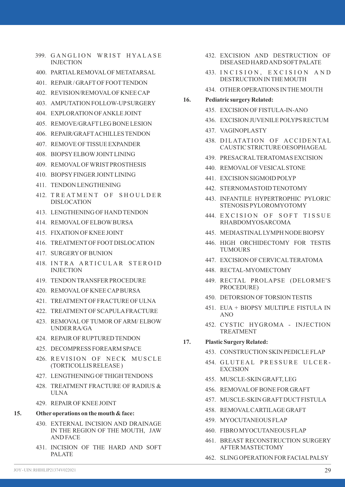- 399. GANGLION WRIST HYALASE INJECTION
- 400. PARTIALREMOVALOF METATARSAL
- 401. REPAIR / GRAFTOF FOOTTENDON
- 402. REVISION/REMOVALOF KNEE CAP
- 403. AMPUTATION FOLLOW-UPSURGERY
- 404. EXPLORATION OF ANKLE JOINT
- 405. REMOVE/GRAFTLEG BONE LESION
- 406. REPAIR/GRAFTACHILLES TENDON
- 407. REMOVE OF TISSUE EXPANDER
- 408. BIOPSYELBOWJOINTLINING
- 409. REMOVALOF WRISTPROSTHESIS
- 410. BIOPSYFINGER JOINTLINING
- 411. TENDON LENGTHENING
- 412. TREATMENT OF SHOULDER DISLOCATION
- 413. LENGTHENING OF HAND TENDON
- 414. REMOVALOF ELBOWBURSA
- 415. FIXATION OF KNEE JOINT
- 416. TREATMENTOF FOOTDISLOCATION
- 417. SURGERYOF BUNION
- 418. INTRA ARTICULAR STEROID **INJECTION**
- 419. TENDON TRANSFER PROCEDURE
- 420. REMOVALOF KNEE CAPBURSA
- 421. TREATMENTOF FRACTURE OF ULNA
- 422. TREATMENTOF SCAPULAFRACTURE
- 423. REMOVAL OF TUMOR OF ARM/ ELBOW UNDER RA/GA
- 424. REPAIR OF RUPTURED TENDON
- 425. DECOMPRESS FOREARM SPACE
- 426. REVISION OF NECK MUSCLE (TORTICOLLIS RELEASE )
- 427. LENGTHENING OF THIGH TENDONS
- 428. TREATMENT FRACTURE OF RADIUS & ULNA
- 429. REPAIR OF KNEE JOINT

#### **15. Other operations on the mouth & face:**

- 430. EXTERNAL INCISION AND DRAINAGE IN THE REGION OF THE MOUTH, JAW AND FACE
- 431. INCISION OF THE HARD AND SOFT PALATE
- 432. EXCISION AND DESTRUCTION OF DISEASED HARD AND SOFTPALATE
- 433. INCISION, EXCISION AND DESTRUCTION IN THE MOUTH
- 434. OTHER OPERATIONS IN THE MOUTH
- **16. Pediatric surgery Related:**
	- 435. EXCISION OF FISTULA-IN-ANO
	- 436. EXCISION JUVENILE POLYPS RECTUM
	- 437. VAGINOPLASTY
	- 438. DILATATION OF ACCIDENTAL CAUSTIC STRICTURE OESOPHAGEAL
	- 439. PRESACRALTERATOMAS EXCISION
	- 440. REMOVALOF VESICALSTONE
	- 441. EXCISION SIGMOID POLYP
	- 442. STERNOMASTOID TENOTOMY
	- 443. INFANTILE HYPERTROPHIC PYLORIC STENOSIS PYLOROMYOTOMY
	- 444. EXCISION OF SOFT TISSUE RHABDOMYOSARCOMA
	- 445. MEDIASTINALLYMPH NODE BIOPSY
	- 446. HIGH ORCHIDECTOMY FOR TESTIS TUMOURS
	- 447. EXCISION OF CERVICALTERATOMA
	- 448. RECTAL-MYOMECTOMY
	- 449. RECTAL PROLAPSE (DELORME'S PROCEDURE)
	- 450. DETORSION OF TORSION TESTIS
	- 451. EUA + BIOPSY MULTIPLE FISTULA IN  $ANDO$
	- 452. CYSTIC HYGROMA INJECTION **TREATMENT**

#### **17. Plastic Surgery Related:**

- 453. CONSTRUCTION SKIN PEDICLE FLAP
- 454. GLUTEAL PRESSURE ULCER-EXCISION
- 455. MUSCLE-SKIN GRAFT, LEG
- 456. REMOVALOF BONE FOR GRAFT
- 457. MUSCLE-SKIN GRAFTDUCTFISTULA
- 458. REMOVALCARTILAGE GRAFT
- 459. MYOCUTANEOUS FLAP
- 460. FIBRO MYOCUTANEOUS FLAP
- 461. BREAST RECONSTRUCTION SURGERY AFTER MASTECTOMY
- 462. SLING OPERATION FOR FACIALPALSY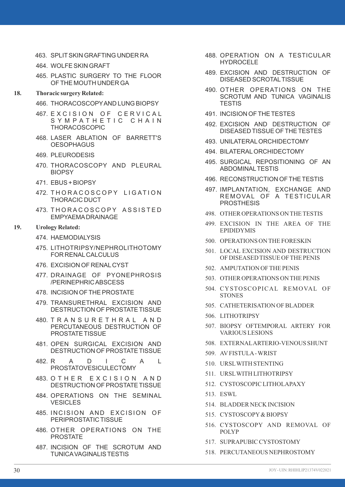- 463. SPLITSKIN GRAFTING UNDER RA
- 464. WOLFE SKIN GRAFT
- 465. PLASTIC SURGERY TO THE FLOOR OF THE MOUTH UNDER GA

#### **18. Thoracic surgery Related:**

- 466. THORACOSCOPYAND LUNG BIOPSY
- 467. EXCISION OF CERVICAL SYMPATHETIC CHAIN THORACOSCOPIC
- 468. LASER ABLATION OF BARRETT'S **OESOPHAGUS**
- 469. PLEURODESIS
- 470. THORACOSCOPY AND PLEURAL **BIOPSY**
- 471. EBUS + BIOPSY
- 472. THORACOSCOPY LIGATION THORACIC DUCT
- 473. THORACOSCOPY ASSISTED EMPYAEMADRAINAGE

#### **19. Urology Related:**

- 474. HAEMODIALYSIS
- 475. LITHOTRIPSY/NEPHROLITHOTOMY FOR RENALCALCULUS
- 476. EXCISION OF RENALCYST
- 477. DRAINAGE OF PYONEPHROSIS /PERINEPHRIC ABSCESS
- 478. INCISION OF THE PROSTATE
- 479. TRANSURETHRAL EXCISION AND DESTRUCTION OF PROSTATE TISSUE
- 480. T R A N S U R E T H R A L A N D PERCUTANEOUS DESTRUCTION OF PROSTATE TISSUE
- 481. OPEN SURGICAL EXCISION AND DESTRUCTION OF PROSTATE TISSUE
- 482. R A D I C A L PROSTATOVESICULECTOMY
- 483. O THER EXCISION AND DESTRUCTION OF PROSTATE TISSUE
- 484. OPERATIONS ON THE SEMINAL VESICLES
- 485. INCISION AND EXCISION OF PERIPROSTATIC TISSUE
- 486. OTHER OPERATIONS ON THE PROSTATE
- 487. INCISION OF THE SCROTUM AND TUNICAVAGINALIS TESTIS
- 488. OPERATION ON A TESTICULAR HYDROCELE
- 489. EXCISION AND DESTRUCTION OF DISEASED SCROTALTISSUE
- 490. OTHER OPERATIONS ON THE SCROTUM AND TUNICA VAGINALIS **TESTIS**
- 491. INCISION OF THE TESTES
- 492. EXCISION AND DESTRUCTION OF DISEASED TISSUE OF THE TESTES
- 493. UNILATERALORCHIDECTOMY
- 494. BILATERALORCHIDECTOMY
- 495. SURGICAL REPOSITIONING OF AN ABDOMINALTESTIS
- 496. RECONSTRUCTION OF THE TESTIS
- 497. IMPLANTATION, EXCHANGE AND REMOVAL OF A TESTICULAR PROSTHESIS
- 498. OTHER OPERATIONS ON THE TESTIS
- 499. EXCISION IN THE AREA OF THE EPIDIDYMIS
- 500. OPERATIONS ON THE FORESKIN
- 501. LOCAL EXCISION AND DESTRUCTION OF DISEASED TISSUE OF THE PENIS
- 502. AMPUTATION OF THE PENIS
- 503. OTHER OPERATIONS ON THE PENIS
- 504. CYSTOSCOPICAL REMOVAL OF **STONES**
- 505. CATHETERISATION OF BLADDER
- 506. LITHOTRIPSY
- 507. BIOPSY OFTEMPORAL ARTERY FOR VARIOUS LESIONS
- 508. EXTERNALARTERIO-VENOUS SHUNT
- 509. AVFISTULA- WRIST
- 510. URSLWITH STENTING
- 511. URSLWITH LITHOTRIPSY
- 512. CYSTOSCOPIC LITHOLAPAXY
- 513. ESWL
- 514. BLADDER NECK INCISION
- 515. CYSTOSCOPY& BIOPSY
- 516. CYSTOSCOPY AND REMOVAL OF POLYP
- 517. SUPRAPUBIC CYSTOSTOMY
- 518. PERCUTANEOUS NEPHROSTOMY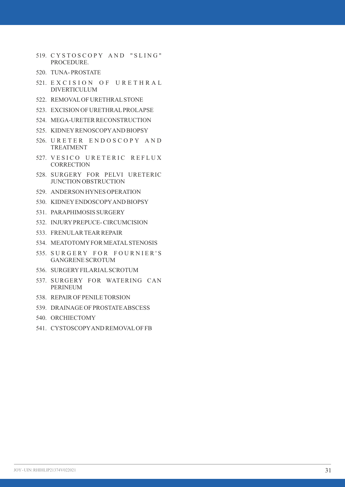- 519. CYSTOSCOPY AND "SLING" PROCEDURE.
- 520. TUNA- PROSTATE
- 521. EXCISION OF URETHRAL DIVERTICULUM
- 522. REMOVALOF URETHRALSTONE
- 523. EXCISION OF URETHRALPROLAPSE
- 524. MEGA-URETER RECONSTRUCTION
- 525. KIDNEYRENOSCOPYAND BIOPSY
- 526. URETER ENDOSCOPY AND TREATMENT
- 527. VESICO URETERIC REFLUX **CORRECTION**
- 528. SURGERY FOR PELVI URETERIC JUNCTION OBSTRUCTION
- 529. ANDERSON HYNES OPERATION
- 530. KIDNEYENDOSCOPYAND BIOPSY
- 531. PARAPHIMOSIS SURGERY
- 532. INJURYPREPUCE- CIRCUMCISION
- 533. FRENULAR TEAR REPAIR
- 534. MEATOTOMYFOR MEATALSTENOSIS
- 535. SURGERY FOR FOURNIER'S GANGRENE SCROTUM
- 536. SURGERYFILARIALSCROTUM
- 537. SURGERY FOR WATERING CAN PERINEUM
- 538. REPAIR OF PENILE TORSION
- 539. DRAINAGE OF PROSTATE ABSCESS
- 540. ORCHIECTOMY
- 541. CYSTOSCOPYAND REMOVALOF FB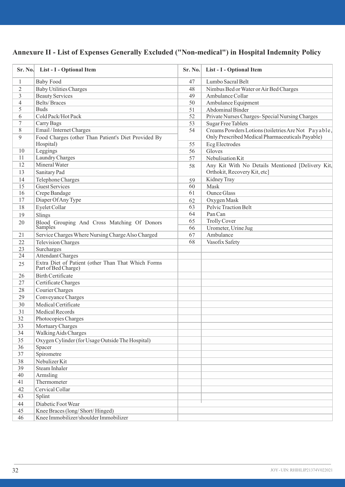# **Annexure II - List of Expenses Generally Excluded ("Non-medical") in Hospital Indemnity Policy**

|                | Sr. No. List - I - Optional Item                                          | Sr. No. | List - I - Optional Item                                           |
|----------------|---------------------------------------------------------------------------|---------|--------------------------------------------------------------------|
| $\mathbf{1}$   | <b>Baby Food</b>                                                          | 47      | Lumbo Sacral Belt                                                  |
| $\overline{c}$ | <b>Baby Utilities Charges</b>                                             | 48      | Nimbus Bed or Water or Air Bed Charges                             |
| 3              | <b>Beauty Services</b>                                                    | 49      | Ambulance Collar                                                   |
| $\overline{4}$ | <b>Belts/Braces</b>                                                       | 50      | Ambulance Equipment                                                |
| 5              | <b>Buds</b>                                                               | 51      | <b>Abdominal Binder</b>                                            |
| 6              | Cold Pack/Hot Pack                                                        | 52      | Private Nurses Charges-Special Nursing Charges                     |
| $\overline{7}$ | Carry Bags                                                                | 53      | <b>Sugar Free Tablets</b>                                          |
| 8              | Email / Internet Charges                                                  | 54      | Creams Powders Lotions (toiletries Are Not Payable,                |
| $\mathbf Q$    | Food Charges (other Than Patient's Diet Provided By                       |         | Only Prescribed Medical Pharmaceuticals Payable)<br>Ecg Electrodes |
| 10             | Hospital)<br>Leggings                                                     | 55      |                                                                    |
| 11             | Laundry Charges                                                           | 56      | Gloves                                                             |
|                |                                                                           | 57      | Nebulisation Kit                                                   |
| 12             | Mineral Water                                                             | 58      | Any Kit With No Details Mentioned [Delivery Kit,                   |
| 13             | Sanitary Pad                                                              |         | Orthokit, Recovery Kit, etc]                                       |
| 14             | Telephone Charges                                                         | 59      | Kidney Tray                                                        |
| 15             | <b>Guest Services</b>                                                     | 60      | Mask                                                               |
| 16             | Crepe Bandage                                                             | 61      | <b>Ounce Glass</b>                                                 |
| 17             | Diaper Of Any Type                                                        | 62      | Oxygen Mask                                                        |
| 18             | Eyelet Collar                                                             | 63      | Pelvic Traction Belt                                               |
| 19             | Slings                                                                    | 64      | Pan Can                                                            |
| 20             | Blood Grouping And Cross Matching Of Donors<br>Samples                    | 65      | <b>Trolly Cover</b>                                                |
|                |                                                                           | 66      | Urometer, Urine Jug                                                |
| 21             | Service Charges Where Nursing Charge Also Charged                         | 67      | Ambulance                                                          |
| 22             | <b>Television Charges</b>                                                 | 68      | Vasofix Safety                                                     |
| 23             | Surcharges                                                                |         |                                                                    |
| 24             | <b>Attendant Charges</b>                                                  |         |                                                                    |
| 25             | Extra Diet of Patient (other Than That Which Forms<br>Part of Bed Charge) |         |                                                                    |
| 26             | <b>Birth Certificate</b>                                                  |         |                                                                    |
| 27             | Certificate Charges                                                       |         |                                                                    |
| 28             | Courier Charges                                                           |         |                                                                    |
| 29             | Conveyance Charges                                                        |         |                                                                    |
| 30             | Medical Certificate                                                       |         |                                                                    |
| 31             | Medical Records                                                           |         |                                                                    |
| 32             | Photocopies Charges                                                       |         |                                                                    |
| 33             | Mortuary Charges                                                          |         |                                                                    |
| 34             | Walking Aids Charges                                                      |         |                                                                    |
| 35             | Oxygen Cylinder (for Usage Outside The Hospital)                          |         |                                                                    |
| 36             | Spacer                                                                    |         |                                                                    |
| 37             | Spirometre                                                                |         |                                                                    |
| 38             | Nebulizer Kit                                                             |         |                                                                    |
| 39             |                                                                           |         |                                                                    |
|                | Steam Inhaler                                                             |         |                                                                    |
| 40             | Armsling                                                                  |         |                                                                    |
| 41             | Thermometer                                                               |         |                                                                    |
| 42             | Cervical Collar                                                           |         |                                                                    |
| 43             | Splint                                                                    |         |                                                                    |
| 44             | Diabetic Foot Wear                                                        |         |                                                                    |
| 45             | Knee Braces (long/Short/Hinged)                                           |         |                                                                    |
| 46             | Knee Immobilizer/shoulder Immobilizer                                     |         |                                                                    |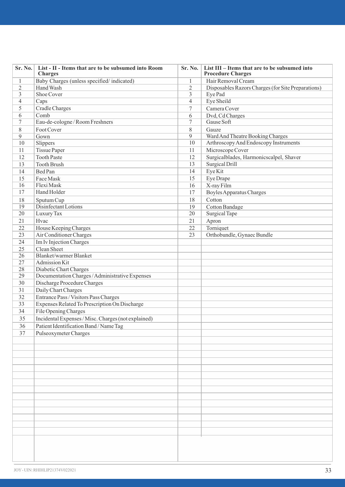| Sr. No.        | List - II - Items that are to be subsumed into Room<br><b>Charges</b> | Sr. No.        | List III - Items that are to be subsumed into<br><b>Procedure Charges</b> |
|----------------|-----------------------------------------------------------------------|----------------|---------------------------------------------------------------------------|
| $\mathbf{1}$   | Baby Charges (unless specified/indicated)                             | $\mathbf{1}$   | Hair Removal Cream                                                        |
| $\overline{2}$ | Hand Wash                                                             | $\overline{2}$ | Disposables Razors Charges (for Site Preparations)                        |
| 3              | Shoe Cover                                                            | 3              | Eye Pad                                                                   |
| $\overline{4}$ | Caps                                                                  | $\overline{4}$ | Eye Sheild                                                                |
| 5              | Cradle Charges                                                        | $\overline{7}$ | Camera Cover                                                              |
| 6              | Comb                                                                  | 6              | Dvd, Cd Charges                                                           |
| $\tau$         | Eau-de-cologne / Room Freshners                                       | $\overline{7}$ | Gause Soft                                                                |
| 8              | Foot Cover                                                            | 8              | Gauze                                                                     |
| 9              | Gown                                                                  | 9              | Ward And Theatre Booking Charges                                          |
| 10             | Slippers                                                              | 10             | Arthroscopy And Endoscopy Instruments                                     |
| 11             | <b>Tissue Paper</b>                                                   | 11             | Microscope Cover                                                          |
| 12             | <b>Tooth Paste</b>                                                    | 12             | Surgicalblades, Harmonicscalpel, Shaver                                   |
| 13             | <b>Tooth Brush</b>                                                    | 13             | Surgical Drill                                                            |
| 14             | Bed Pan                                                               | 14             | Eye Kit                                                                   |
| 15             | Face Mask                                                             | 15             | Eye Drape                                                                 |
| 16             | Flexi Mask                                                            | 16             | X-ray Film                                                                |
| 17             | Hand Holder                                                           | 17             | <b>Boyles Apparatus Charges</b>                                           |
| 18             | Sputum Cup                                                            | 18             | Cotton                                                                    |
| 19             | Disinfectant Lotions                                                  | 19             | <b>Cotton Bandage</b>                                                     |
| 20             | Luxury Tax                                                            | 20             | Surgical Tape                                                             |
| 21             | Hvac                                                                  | 21             | Apron                                                                     |
| 22             | House Keeping Charges                                                 | 22             | Torniquet                                                                 |
| 23             | Air Conditioner Charges                                               | 23             | Orthobundle, Gynaec Bundle                                                |
| 24             | Im Iv Injection Charges                                               |                |                                                                           |
| 25             | Clean Sheet                                                           |                |                                                                           |
| 26             | Blanket/warmer Blanket                                                |                |                                                                           |
| 27             | Admission Kit                                                         |                |                                                                           |
| 28             | Diabetic Chart Charges                                                |                |                                                                           |
| 29             | Documentation Charges / Administrative Expenses                       |                |                                                                           |
| 30             | Discharge Procedure Charges                                           |                |                                                                           |
| 31             | Daily Chart Charges                                                   |                |                                                                           |
| 32             | Entrance Pass / Visitors Pass Charges                                 |                |                                                                           |
| 33             | Expenses Related To Prescription On Discharge                         |                |                                                                           |
| 34             | File Opening Charges                                                  |                |                                                                           |
| 35             | Incidental Expenses / Misc. Charges (not explained)                   |                |                                                                           |
| 36             | Patient Identification Band / Name Tag                                |                |                                                                           |
| 37             | Pulseoxymeter Charges                                                 |                |                                                                           |
|                |                                                                       |                |                                                                           |
|                |                                                                       |                |                                                                           |
|                |                                                                       |                |                                                                           |
|                |                                                                       |                |                                                                           |
|                |                                                                       |                |                                                                           |
|                |                                                                       |                |                                                                           |
|                |                                                                       |                |                                                                           |
|                |                                                                       |                |                                                                           |
|                |                                                                       |                |                                                                           |
|                |                                                                       |                |                                                                           |
|                |                                                                       |                |                                                                           |
|                |                                                                       |                |                                                                           |
|                |                                                                       |                |                                                                           |
|                |                                                                       |                |                                                                           |
|                |                                                                       |                |                                                                           |
|                |                                                                       |                |                                                                           |
|                |                                                                       |                |                                                                           |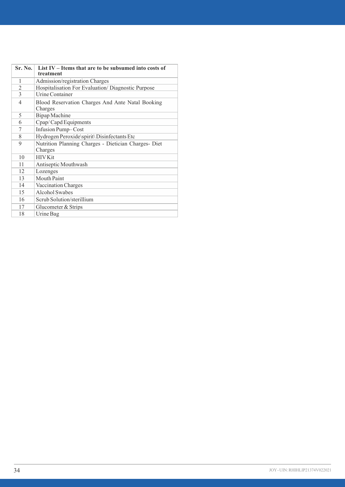| Sr. No. | List IV – Items that are to be subsumed into costs of<br>treatment |
|---------|--------------------------------------------------------------------|
| 1       | Admission/registration Charges                                     |
| 2       | Hospitalisation For Evaluation/Diagnostic Purpose                  |
| 3       | Urine Container                                                    |
| 4       | Blood Reservation Charges And Ante Natal Booking<br>Charges        |
| 5       | <b>Bipap</b> Machine                                               |
| 6       | Cpap/Capd Equipments                                               |
| 7       | Infusion Pump-Cost                                                 |
| 8       | Hydrogen Peroxide\spirit\ Disinfectants Etc                        |
| 9       | Nutrition Planning Charges - Dietician Charges- Diet<br>Charges    |
| 10      | <b>HIV Kit</b>                                                     |
| 11      | Antiseptic Mouthwash                                               |
| 12      | Lozenges                                                           |
| 13      | Mouth Paint                                                        |
| 14      | Vaccination Charges                                                |
| 15      | <b>Alcohol Swabes</b>                                              |
| 16      | Scrub Solution/sterillium                                          |
| 17      | Glucometer & Strips                                                |
| 18      | Urine Bag                                                          |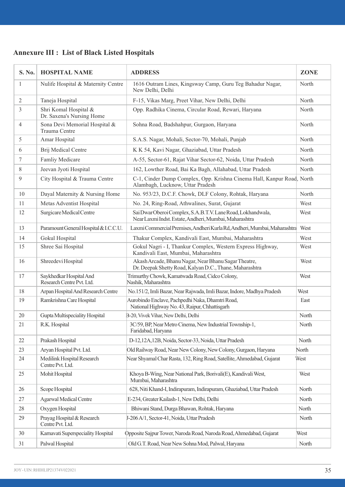| <b>Annexure III : List of Black Listed Hospitals</b> |  |  |  |  |
|------------------------------------------------------|--|--|--|--|
|------------------------------------------------------|--|--|--|--|

| S. No.         | <b>HOSPITAL NAME</b>                                 | <b>ADDRESS</b>                                                                                                        | <b>ZONE</b> |
|----------------|------------------------------------------------------|-----------------------------------------------------------------------------------------------------------------------|-------------|
| $\mathbf{1}$   | Nulife Hospital & Maternity Centre                   | 1616 Outram Lines, Kingsway Camp, Guru Teg Bahadur Nagar,<br>New Delhi, Delhi                                         | North       |
| $\overline{c}$ | Taneja Hospital                                      | F-15, Vikas Marg, Preet Vihar, New Delhi, Delhi                                                                       | North       |
| 3              | Shri Komal Hospital &<br>Dr. Saxena's Nursing Home   | Opp. Radhika Cinema, Circular Road, Rewari, Haryana                                                                   | North       |
| 4              | Sona Devi Memorial Hospital &<br>Trauma Centre       | Sohna Road, Badshahpur, Gurgaon, Haryana                                                                              | North       |
| 5              | Amar Hospital                                        | S.A.S. Nagar, Mohali, Sector-70, Mohali, Punjab                                                                       | North       |
| 6              | Brij Medical Centre                                  | K K 54, Kavi Nagar, Ghaziabad, Uttar Pradesh                                                                          | North       |
| 7              | Famliy Medicare                                      | A-55, Sector-61, Rajat Vihar Sector-62, Noida, Uttar Pradesh                                                          | North       |
| 8              | Jeevan Jyoti Hospital                                | 162, Lowther Road, Bai Ka Bagh, Allahabad, Uttar Pradesh                                                              | North       |
| 9              | City Hospital & Trauma Centre                        | C-1, Cinder Dump Complex, Opp. Krishna Cinema Hall, Kanpur Road, North<br>Alambagh, Lucknow, Uttar Pradesh            |             |
| 10             | Dayal Maternity & Nursing Home                       | No. 953/23, D.C.F. Chowk, DLF Colony, Rohtak, Haryana                                                                 | North       |
| 11             | Metas Adventist Hospital                             | No. 24, Ring-Road, Athwalines, Surat, Gujarat                                                                         | West        |
| 12             | Surgicare Medical Centre                             | Sai Dwar Oberoi Complex, S.A.B.T.V. Lane Road, Lokhandwala,<br>Near Laxmi Indst. Estate, Andheri, Mumbai, Maharashtra | West        |
| 13             | Paramount General Hospital & I.C.C.U.                | Laxmi Commercial Premises, Andheri Kurla Rd, Andheri, Mumbai, Maharashtra                                             | West        |
| 14             | Gokul Hospital                                       | Thakur Complex, Kandivali East, Mumbai, Maharashtra                                                                   | West        |
| 15             | Shree Sai Hospital                                   | Gokul Nagri - I, Thankur Complex, Western Express Highway,<br>Kandivali East, Mumbai, Maharashtra                     | West        |
| 16             | Shreedevi Hospital                                   | Akash Arcade, Bhanu Nagar, Near Bhanu Sagar Theatre,<br>Dr. Deepak Shetty Road, Kalyan D.C., Thane, Maharashtra       | West        |
| 17             | Saykhedkar Hospital And<br>Research Centre Pvt. Ltd. | Trimurthy Chowk, Kamatwada Road, Cidco Colony,<br>Nashik, Maharashtra                                                 | West        |
| 18             | Arpan Hospital And Research Centre                   | No.151/2, Imli Bazar, Near Rajwada, Imli Bazar, Indore, Madhya Pradesh                                                | West        |
| 19             | Ramkrishna Care Hospital                             | Aurobindo Enclave, Pachpedhi Naka, Dhamtri Road,<br>National Highway No. 43, Raipur, Chhattisgarh                     | East        |
| 20             | Gupta Multispeciality Hospital                       | B-20, Vivek Vihar, New Delhi, Delhi                                                                                   | North       |
| 21             | R.K. Hospital                                        | 3C/59, BP, Near Metro Cinema, New Industrial Township-1,<br>Faridabad, Haryana                                        | North       |
| 22             | Prakash Hospital                                     | D-12,12A,12B, Noida, Sector-33, Noida, Uttar Pradesh                                                                  | North       |
| 23             | Aryan Hospital Pvt. Ltd.                             | Old Railway Road, Near New Colony, New Colony, Gurgaon, Haryana                                                       | North       |
| 24             | Medilink Hospital Research<br>Centre Pvt. Ltd.       | Near Shyamal Char Rasta, 132, Ring Road, Satellite, Ahmedabad, Gujarat                                                | West        |
| 25             | Mohit Hospital                                       | Khoya B-Wing, Near National Park, Borivali(E), Kandivali West,<br>Mumbai, Maharashtra                                 | West        |
| 26             | Scope Hospital                                       | 628, Niti Khand-I, Indirapuram, Indirapuram, Ghaziabad, Uttar Pradesh                                                 | North       |
| 27             | <b>Agarwal Medical Centre</b>                        | E-234, Greater Kailash-1, New Delhi, Delhi                                                                            | North       |
| 28             | Oxygen Hospital                                      | Bhiwani Stand, Durga Bhawan, Rohtak, Haryana                                                                          | North       |
| 29             | Prayag Hospital & Research<br>Centre Pvt. Ltd.       | J-206 A/1, Sector-41, Noida, Uttar Pradesh                                                                            | North       |
| 30             | Karnavati Superspeciality Hospital                   | Opposite Sajpur Tower, Naroda Road, Naroda Road, Ahmedabad, Gujarat                                                   | West        |
| 31             | Palwal Hospital                                      | Old G.T. Road, Near New Sohna Mod, Palwal, Haryana                                                                    | North       |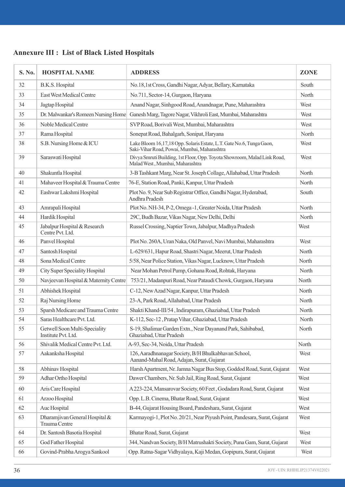| S. No. | <b>HOSPITAL NAME</b>                                 | <b>ADDRESS</b>                                                                                                      | <b>ZONE</b> |
|--------|------------------------------------------------------|---------------------------------------------------------------------------------------------------------------------|-------------|
| 32     | B.K.S. Hospital                                      | No.18,1st Cross, Gandhi Nagar, Adyar, Bellary, Karnataka                                                            | South       |
| 33     | East West Medical Centre                             | No.711, Sector-14, Gurgaon, Haryana                                                                                 | North       |
| 34     | Jagtap Hospital                                      | Anand Nagar, Sinhgood Road, Anandnagar, Pune, Maharashtra                                                           | West        |
| 35     | Dr. Malwankar's Romeen Nursing Home                  | Ganesh Marg, Tagore Nagar, Vikhroli East, Mumbai, Maharashtra                                                       | West        |
| 36     | Noble Medical Centre                                 | SVP Road, Borivali West, Mumbai, Maharashtra                                                                        | West        |
| 37     | Rama Hospital                                        | Sonepat Road, Bahalgarh, Sonipat, Haryana                                                                           | North       |
| 38     | S.B. Nursing Home & ICU                              | Lake Bloom 16,17,18 Opp. Solaris Estate, L.T. Gate No.6, Tunga Gaon,<br>Saki-Vihar Road, Powai, Mumbai, Maharashtra | West        |
| 39     | Saraswati Hospital                                   | Divya Smruti Building, 1st Floor, Opp. Toyota Showroom, Malad Link Road,<br>Malad West, Mumbai, Maharashtra         | West        |
| 40     | Shakuntla Hospital                                   | 3-B Tashkant Marg, Near St. Joseph Collage, Allahabad, Uttar Pradesh                                                | North       |
| 41     | Mahaveer Hospital & Trauma Centre                    | 76-E, Station Road, Panki, Kanpur, Uttar Pradesh                                                                    | North       |
| 42     | Eashwar Lakshmi Hospital                             | Plot No. 9, Near Sub Registrar Office, Gandhi Nagar, Hyderabad,<br>Andhra Pradesh                                   | South       |
| 43     | Amrapali Hospital                                    | Plot No. NH-34, P-2, Omega -1, Greater Noida, Uttar Pradesh                                                         | North       |
| 44     | Hardik Hospital                                      | 29C, Budh Bazar, Vikas Nagar, New Delhi, Delhi                                                                      | North       |
| 45     | Jabalpur Hospital & Research<br>Centre Pvt. Ltd.     | Russel Crossing, Naptier Town, Jabalpur, Madhya Pradesh                                                             | West        |
| 46     | Panvel Hospital                                      | Plot No. 260A, Uran Naka, Old Panvel, Navi Mumbai, Maharashtra                                                      | West        |
| 47     | Santosh Hospital                                     | L-629/631, Hapur Road, Shastri Nagar, Meerut, Uttar Pradesh                                                         | North       |
| 48     | Sona Medical Centre                                  | 5/58, Near Police Station, Vikas Nagar, Lucknow, Uttar Pradesh                                                      | North       |
| 49     | <b>City Super Speciality Hospital</b>                | Near Mohan Petrol Pump, Gohana Road, Rohtak, Haryana                                                                | North       |
| 50     | Navjeevan Hospital & Maternity Centre                | 753/21, Madanpuri Road, Near Pataudi Chowk, Gurgaon, Haryana                                                        | North       |
| 51     | Abhishek Hospital                                    | C-12, New Azad Nagar, Kanpur, Uttar Pradesh                                                                         | North       |
| 52     | Raj Nursing Home                                     | 23-A, Park Road, Allahabad, Uttar Pradesh                                                                           | North       |
| 53     | Sparsh Medicare and Trauma Centre                    | Shakti Khand-III/54, Indirapuram, Ghaziabad, Uttar Pradesh                                                          | North       |
| 54     | Saras Healthcare Pvt. Ltd.                           | K-112, Sec-12, Pratap Vihar, Ghaziabad, Uttar Pradesh                                                               | North       |
| 55     | Getwell Soon Multi-Speciality<br>Institute Pvt. Ltd. | S-19, Shalimar Garden Extn., Near Dayanand Park, Sahibabad,<br>Ghaziabad, Uttar Pradesh                             | North       |
| 56     | Shivalik Medical Centre Pvt. Ltd.                    | A-93, Sec-34, Noida, Uttar Pradesh                                                                                  | North       |
| 57     | Aakanksha Hospital                                   | 126, Aaradhnanagar Society, B/H Bhulkabhavan School,<br>Aanand-Mahal Road, Adajan, Surat, Gujarat                   | West        |
| 58     | Abhinav Hospital                                     | Harsh Apartment, Nr. Jamna Nagar Bus Stop, Goddod Road, Surat, Gujarat                                              | West        |
| 59     | Adhar Ortho Hospital                                 | Dawer Chambers, Nr. Sub Jail, Ring Road, Surat, Gujarat                                                             | West        |
| 60     | Aris Care Hospital                                   | A 223-224, Mansarovar Society, 60 Feet, Godadara Road, Surat, Gujarat                                               | West        |
| 61     | Arzoo Hospital                                       | Opp. L.B. Cinema, Bhatar Road, Surat, Gujarat                                                                       | West        |
| 62     | Auc Hospital                                         | B-44, Gujarat Housing Board, Pandeshara, Surat, Gujarat                                                             | West        |
| 63     | Dharamjivan General Hospital &<br>Trauma Centre      | Karmayogi-1, Plot No. 20/21, Near Piyush Point, Pandesara, Surat, Gujarat                                           | West        |
| 64     | Dr. Santosh Basotia Hospital                         | Bhatar Road, Surat, Gujarat                                                                                         | West        |
| 65     | God Father Hospital                                  | 344, Nandvan Society, B/H Matrushakti Society, Puna Gam, Surat, Gujarat                                             | West        |
| 66     | Govind-Prabha Arogya Sankool                         | Opp. Ratna-Sagar Vidhyalaya, Kaji Medan, Gopipura, Surat, Gujarat                                                   | West        |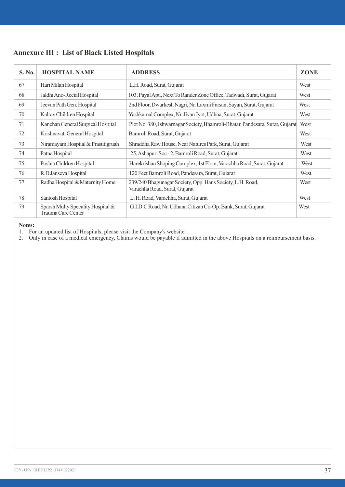| S. No. | <b>HOSPITAL NAME</b>                                    | <b>ADDRESS</b>                                                                             | <b>ZONE</b> |
|--------|---------------------------------------------------------|--------------------------------------------------------------------------------------------|-------------|
| 67     | Hari Milan Hospital                                     | L.H. Road, Surat, Gujarat                                                                  | West        |
| 68     | Jaldhi Ano-Rectal Hospital                              | 103, Payal Apt., Next To Rander Zone Office, Tadwadi, Surat, Gujarat                       | West        |
| 69     | Jeevan Path Gen. Hospital                               | 2nd Floor, Dwarkesh Nagri, Nr. Laxmi Farsan, Sayan, Surat, Gujarat                         | West        |
| 70     | Kalrav Children Hospital                                | Yashkamal Complex, Nr. Jivan Jyot, Udhna, Surat, Gujarat                                   | West        |
| 71     | Kanchan General Surgical Hospital                       | Plot No. 380, Ishwarnagar Society, Bhamroli-Bhatar, Pandesara, Surat, Gujarat              | West        |
| 72     | Krishnavati General Hospital                            | Bamroli Road, Surat, Gujarat                                                               | West        |
| 73     | Niramayam Hosptial & Prasutigruah                       | Shraddha Raw House, Near Natures Park, Surat, Gujarat                                      | West        |
| 74     | Patna Hospital                                          | 25, Ashapuri Soc - 2, Bamroli Road, Surat, Gujarat                                         | West        |
| 75     | Poshia Children Hospital                                | Harekrishan Shoping Complex, 1st Floor, Varachha Road, Surat, Gujarat                      | West        |
| 76     | R.D Janseva Hospital                                    | 120 Feet Bamroli Road, Pandesara, Surat, Gujarat                                           | West        |
| 77     | Radha Hospital & Maternity Home                         | 239/240 Bhagunagar Society, Opp. Hans Society, L.H. Road,<br>Varachha Road, Surat, Gujarat | West        |
| 78     | Santosh Hospital                                        | L. H. Road, Varachha, Surat, Gujarat                                                       | West        |
| 79     | Sparsh Multy Specality Hospital &<br>Trauma Care Center | G.I.D.C Road, Nr. Udhana Citizan Co-Op. Bank, Surat, Gujarat                               | West        |

#### **Notes:**

1. For an updated list of Hospitals, please visit the Company's website. 2. Only in case of a medical emergency, Claims would be payable if admitted in the above Hospitals on a reimbursement basis.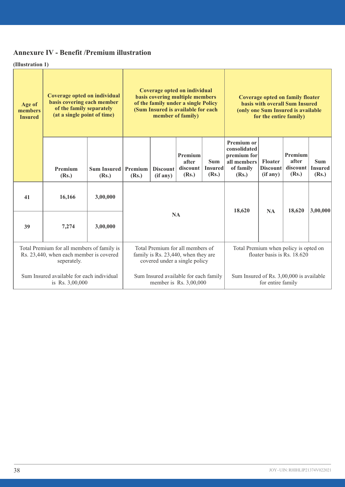# **Annexure IV - Benefit /Premium illustration**

**(Illustration 1)**

| Age of<br>members<br><b>Insured</b> | Coverage opted on individual<br>basis covering each member<br>of the family separately<br>(at a single point of time) |                                                                                                                                                                                                   | Coverage opted on individual<br>basis covering multiple members<br>of the family under a single Policy<br>(Sum Insured is available for each<br>member of family) |                             |                                          | Coverage opted on family floater<br>basis with overall Sum Insured<br>(only one Sum Insured is available<br>for the entire family) |                                                                                |                                        |                                       |                                       |
|-------------------------------------|-----------------------------------------------------------------------------------------------------------------------|---------------------------------------------------------------------------------------------------------------------------------------------------------------------------------------------------|-------------------------------------------------------------------------------------------------------------------------------------------------------------------|-----------------------------|------------------------------------------|------------------------------------------------------------------------------------------------------------------------------------|--------------------------------------------------------------------------------|----------------------------------------|---------------------------------------|---------------------------------------|
|                                     | Premium<br>(Rs.)                                                                                                      | Sum Insured<br>(Rs.)                                                                                                                                                                              | Premium<br>(Rs.)                                                                                                                                                  | <b>Discount</b><br>(if any) | Premium<br>after<br>discount<br>(Rs.)    | <b>Sum</b><br><b>Insured</b><br>(Rs.)                                                                                              | Premium or<br>consolidated<br>premium for<br>all members<br>of family<br>(Rs.) | Floater<br><b>Discount</b><br>(if any) | Premium<br>after<br>discount<br>(Rs.) | <b>Sum</b><br><b>Insured</b><br>(Rs.) |
| 41                                  | 16,166                                                                                                                | 3,00,000                                                                                                                                                                                          |                                                                                                                                                                   |                             |                                          |                                                                                                                                    |                                                                                |                                        |                                       |                                       |
| 39                                  | 7.274                                                                                                                 | 3,00,000                                                                                                                                                                                          |                                                                                                                                                                   | <b>NA</b>                   |                                          |                                                                                                                                    | 18,620                                                                         | <b>NA</b>                              | 18,620                                | 3,00,000                              |
|                                     | seperately.                                                                                                           | Total Premium for all members of<br>Total Premium for all members of family is<br>Rs. 23,440, when each member is covered<br>family is Rs. 23,440, when they are<br>covered under a single policy |                                                                                                                                                                   |                             |                                          | Total Premium when policy is opted on                                                                                              |                                                                                | floater basis is Rs. 18.620            |                                       |                                       |
|                                     | Sum Insured available for each individual<br>is Rs. 3,00,000                                                          |                                                                                                                                                                                                   | Sum Insured available for each family<br>member is Rs. 3,00,000                                                                                                   |                             | Sum Insured of Rs. 3,00,000 is available | for entire family                                                                                                                  |                                                                                |                                        |                                       |                                       |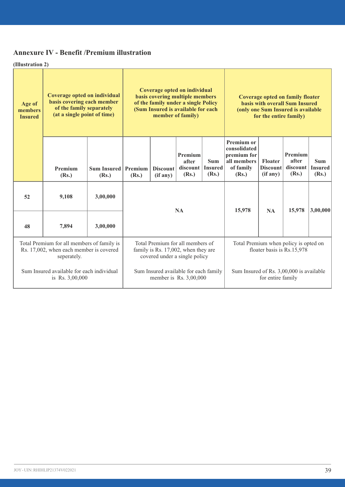# **Annexure IV - Benefit /Premium illustration**

**(Illustration 2)**

| Age of<br>members<br><b>Insured</b> | Coverage opted on individual<br>Coverage opted on individual<br>basis covering multiple members<br>basis covering each member<br>of the family under a single Policy<br>of the family separately<br>(Sum Insured is available for each<br>(at a single point of time)<br>member of family) |                      | <b>Coverage opted on family floater</b><br>basis with overall Sum Insured<br>(only one Sum Insured is available<br>for the entire family) |                             |                                                                     |                                       |                                                                                |                                               |                                       |                                       |
|-------------------------------------|--------------------------------------------------------------------------------------------------------------------------------------------------------------------------------------------------------------------------------------------------------------------------------------------|----------------------|-------------------------------------------------------------------------------------------------------------------------------------------|-----------------------------|---------------------------------------------------------------------|---------------------------------------|--------------------------------------------------------------------------------|-----------------------------------------------|---------------------------------------|---------------------------------------|
|                                     | Premium<br>(Rs.)                                                                                                                                                                                                                                                                           | Sum Insured<br>(Rs.) | Premium<br>(Rs.)                                                                                                                          | <b>Discount</b><br>(if any) | Premium<br>after<br>discount  <br>(Rs.)                             | <b>Sum</b><br><b>Insured</b><br>(Rs.) | Premium or<br>consolidated<br>premium for<br>all members<br>of family<br>(Rs.) | <b>Floater</b><br><b>Discount</b><br>(if any) | Premium<br>after<br>discount<br>(Rs.) | <b>Sum</b><br><b>Insured</b><br>(Rs.) |
| 52                                  | 9.108                                                                                                                                                                                                                                                                                      | 3,00,000             |                                                                                                                                           |                             | <b>NA</b>                                                           |                                       | 15,978                                                                         | <b>NA</b>                                     | 15,978                                | 3,00,000                              |
| 48                                  | 7.894                                                                                                                                                                                                                                                                                      | 3,00,000             |                                                                                                                                           |                             |                                                                     |                                       |                                                                                |                                               |                                       |                                       |
|                                     | Total Premium for all members of family is<br>Rs. 17,002, when each member is covered<br>seperately.                                                                                                                                                                                       |                      | Total Premium for all members of<br>family is Rs. 17,002, when they are<br>covered under a single policy                                  |                             | Total Premium when policy is opted on<br>floater basis is Rs.15,978 |                                       |                                                                                |                                               |                                       |                                       |
|                                     | Sum Insured available for each individual<br>is Rs. 3,00,000                                                                                                                                                                                                                               |                      | Sum Insured available for each family<br>member is $\$ {Rs. }3,00,000                                                                     |                             | Sum Insured of Rs. 3,00,000 is available<br>for entire family       |                                       |                                                                                |                                               |                                       |                                       |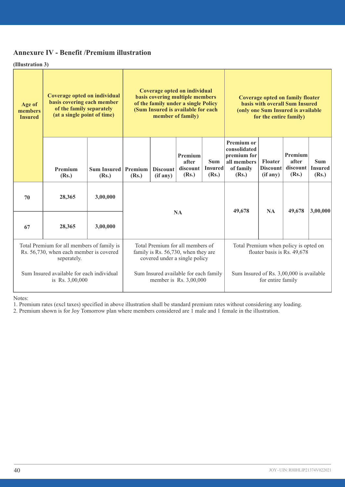# **Annexure IV - Benefit /Premium illustration**

**(Illustration 3)**

| Age of<br>members<br><b>Insured</b> | Coverage opted on individual<br>basis covering each member<br>of the family separately<br>(at a single point of time) |                      | Coverage opted on individual<br>basis covering multiple members<br>of the family under a single Policy<br>(Sum Insured is available for each<br>member of family) |                             | Coverage opted on family floater<br>basis with overall Sum Insured<br>(only one Sum Insured is available<br>for the entire family) |                                                               |                                                                                |                                        |                                       |                                       |
|-------------------------------------|-----------------------------------------------------------------------------------------------------------------------|----------------------|-------------------------------------------------------------------------------------------------------------------------------------------------------------------|-----------------------------|------------------------------------------------------------------------------------------------------------------------------------|---------------------------------------------------------------|--------------------------------------------------------------------------------|----------------------------------------|---------------------------------------|---------------------------------------|
|                                     | Premium<br>(Rs.)                                                                                                      | Sum Insured<br>(Rs.) | Premium<br>(Rs.)                                                                                                                                                  | <b>Discount</b><br>(if any) | Premium<br>after<br>discount<br>(Rs.)                                                                                              | <b>Sum</b><br><b>Insured</b><br>(Rs.)                         | Premium or<br>consolidated<br>premium for<br>all members<br>of family<br>(Rs.) | Floater<br><b>Discount</b><br>(if any) | Premium<br>after<br>discount<br>(Rs.) | <b>Sum</b><br><b>Insured</b><br>(Rs.) |
| 70                                  | 28,365                                                                                                                | 3,00,000             |                                                                                                                                                                   |                             |                                                                                                                                    |                                                               |                                                                                |                                        |                                       |                                       |
| 67                                  | 28,365                                                                                                                | 3,00,000             |                                                                                                                                                                   |                             | <b>NA</b>                                                                                                                          |                                                               | 49,678                                                                         | <b>NA</b>                              | 49,678                                | 3,00,000                              |
|                                     | Total Premium for all members of family is<br>Rs. 56,730, when each member is covered<br>seperately.                  |                      | Total Premium for all members of<br>family is Rs. 56,730, when they are<br>covered under a single policy                                                          |                             | Total Premium when policy is opted on<br>floater basis is Rs. 49,678                                                               |                                                               |                                                                                |                                        |                                       |                                       |
|                                     | Sum Insured available for each individual<br>is Rs. 3,00,000                                                          |                      | Sum Insured available for each family<br>member is $\$ {Rs. }3,00,000                                                                                             |                             |                                                                                                                                    | Sum Insured of Rs. 3,00,000 is available<br>for entire family |                                                                                |                                        |                                       |                                       |

Notes:

1. Premium rates (excl taxes) specified in above illustration shall be standard premium rates without considering any loading.

2. Premium shown is for Joy Tomorrow plan where members considered are 1 male and 1 female in the illustration.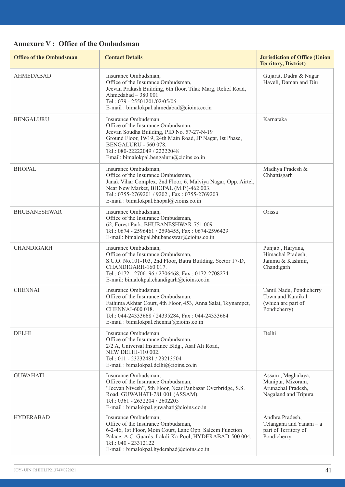# **Annexure V : Office of the Ombudsman**

| <b>Office of the Ombudsman</b> | <b>Contact Details</b>                                                                                                                                                                                                                                                     | <b>Jurisdiction of Office (Union</b><br><b>Territory, District)</b>                  |
|--------------------------------|----------------------------------------------------------------------------------------------------------------------------------------------------------------------------------------------------------------------------------------------------------------------------|--------------------------------------------------------------------------------------|
| <b>AHMEDABAD</b>               | Insurance Ombudsman.<br>Office of the Insurance Ombudsman,<br>Jeevan Prakash Building, 6th floor, Tilak Marg, Relief Road,<br>Ahmedabad $-380001$ .<br>Tel.: 079 - 25501201/02/05/06<br>E-mail: bimalokpal.ahmedabad@cioins.co.in                                          | Gujarat, Dadra & Nagar<br>Haveli, Daman and Diu                                      |
| <b>BENGALURU</b>               | Insurance Ombudsman,<br>Office of the Insurance Ombudsman,<br>Jeevan Soudha Building, PID No. 57-27-N-19<br>Ground Floor, 19/19, 24th Main Road, JP Nagar, Ist Phase,<br>BENGALURU - 560 078.<br>Tel.: 080-22222049 / 22222048<br>Email: bimalokpal.bengaluru@cioins.co.in | Karnataka                                                                            |
| BHOPAL                         | Insurance Ombudsman,<br>Office of the Insurance Ombudsman,<br>Janak Vihar Complex, 2nd Floor, 6, Malviya Nagar, Opp. Airtel,<br>Near New Market, BHOPAL (M.P.)-462 003.<br>Tel.: 0755-2769201 / 9202, Fax: 0755-2769203<br>E-mail: bimalokpal.bhopal@cioins.co.in          | Madhya Pradesh &<br>Chhattisgarh                                                     |
| <b>BHUBANESHWAR</b>            | Insurance Ombudsman,<br>Office of the Insurance Ombudsman,<br>62, Forest Park, BHUBANESHWAR-751 009.<br>Tel.: 0674 - 2596461 / 2596455, Fax: 0674-2596429<br>E-mail: bimalokpal.bhubaneswar@cioins.co.in                                                                   | Orissa                                                                               |
| CHANDIGARH                     | Insurance Ombudsman,<br>Office of the Insurance Ombudsman,<br>S.C.O. No.101-103, 2nd Floor, Batra Building. Sector 17-D,<br>CHANDIGARH-160 017.<br>Tel.: 0172 - 2706196 / 2706468, Fax: 0172-2708274<br>E-mail: bimalokpal.chandigarh@cioins.co.in                         | Punjab, Haryana,<br>Himachal Pradesh,<br>Jammu & Kashmir,<br>Chandigarh              |
| <b>CHENNAI</b>                 | Insurance Ombudsman,<br>Office of the Insurance Ombudsman,<br>Fathima Akhtar Court, 4th Floor, 453, Anna Salai, Teynampet,<br>CHENNAI-600 018.<br>Tel.: 044-24333668 / 24335284, Fax: 044-24333664<br>E-mail: bimalokpal.chennai@cioins.co.in                              | Tamil Nadu, Pondicherry<br>Town and Karaikal<br>(which are part of<br>Pondicherry)   |
| <b>DELHI</b>                   | Insurance Ombudsman,<br>Office of the Insurance Ombudsman,<br>2/2 A, Universal Insurance Bldg., Asaf Ali Road,<br>NEW DELHI-110 002.<br>Tel.: 011 - 23232481 / 23213504<br>E-mail: bimalokpal.delhi@cioins.co.in                                                           | Delhi                                                                                |
| <b>GUWAHATI</b>                | Insurance Ombudsman,<br>Office of the Insurance Ombudsman,<br>"Jeevan Nivesh", 5th Floor, Near Panbazar Overbridge, S.S.<br>Road, GUWAHATI-781 001 (ASSAM).<br>Tel.: 0361 - 2632204 / 2602205<br>E-mail: bimalokpal.guwahati@cioins.co.in                                  | Assam, Meghalaya,<br>Manipur, Mizoram,<br>Arunachal Pradesh,<br>Nagaland and Tripura |
| <b>HYDERABAD</b>               | Insurance Ombudsman.<br>Office of the Insurance Ombudsman,<br>6-2-46, 1st Floor, Moin Court, Lane Opp. Saleem Function<br>Palace, A.C. Guards, Lakdi-Ka-Pool, HYDERABAD-500 004.<br>Tel.: 040 - 23312122<br>E-mail: bimalokpal.hyderabad@cioins.co.in                      | Andhra Pradesh,<br>Telangana and Yanam - a<br>part of Territory of<br>Pondicherry    |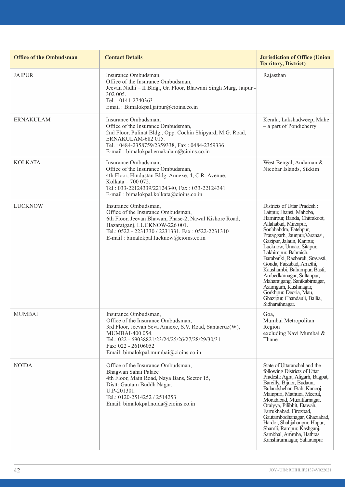| <b>Office of the Ombudsman</b> | <b>Contact Details</b>                                                                                                                                                                                                                                      | <b>Jurisdiction of Office (Union</b><br><b>Territory, District)</b>                                                                                                                                                                                                                                                                                                                                                                                                                                                          |
|--------------------------------|-------------------------------------------------------------------------------------------------------------------------------------------------------------------------------------------------------------------------------------------------------------|------------------------------------------------------------------------------------------------------------------------------------------------------------------------------------------------------------------------------------------------------------------------------------------------------------------------------------------------------------------------------------------------------------------------------------------------------------------------------------------------------------------------------|
| <b>JAIPUR</b>                  | Insurance Ombudsman,<br>Office of the Insurance Ombudsman.<br>Jeevan Nidhi - II Bldg., Gr. Floor, Bhawani Singh Marg, Jaipur -<br>302 005.<br>Tel.: 0141-2740363<br>Email: Bimalokpal.jaipur@cioins.co.in                                                   | Rajasthan                                                                                                                                                                                                                                                                                                                                                                                                                                                                                                                    |
| <b>ERNAKULAM</b>               | Insurance Ombudsman,<br>Office of the Insurance Ombudsman,<br>2nd Floor, Pulinat Bldg., Opp. Cochin Shipyard, M.G. Road,<br>ERNAKULAM-682015.<br>Tel.: 0484-2358759/2359338, Fax: 0484-2359336<br>E-mail: bimalokpal.ernakulam@cioins.co.in                 | Kerala, Lakshadweep, Mahe<br>- a part of Pondicherry                                                                                                                                                                                                                                                                                                                                                                                                                                                                         |
| <b>KOLKATA</b>                 | Insurance Ombudsman,<br>Office of the Insurance Ombudsman.<br>4th Floor, Hindustan Bldg. Annexe, 4, C.R. Avenue,<br>Kolkata - 700 072.<br>Tel: 033-22124339/22124340, Fax: 033-22124341<br>E-mail: bimalokpal.kolkata@cioins.co.in                          | West Bengal, Andaman &<br>Nicobar Islands, Sikkim                                                                                                                                                                                                                                                                                                                                                                                                                                                                            |
| <b>LUCKNOW</b>                 | Insurance Ombudsman,<br>Office of the Insurance Ombudsman.<br>6th Floor, Jeevan Bhawan, Phase-2, Nawal Kishore Road,<br>Hazaratganj, LUCKNOW-226 001.<br>Tel.: 0522 - 2231330 / 2231331, Fax: 0522-2231310<br>E-mail: bimalokpal.lucknow@cioins.co.in       | Districts of Uttar Pradesh:<br>Laitpur, Jhansi, Mahoba,<br>Hamirpur, Banda, Chitrakoot,<br>Allahabad, Mirzapur,<br>Sonbhabdra, Fatehpur,<br>Pratapgarh, Jaunpur, Varanasi,<br>Gazipur, Jalaun, Kanpur,<br>Lucknow, Unnao, Sitapur,<br>Lakhimpur, Bahraich,<br>Barabanki, Raebareli, Sravasti,<br>Gonda, Faizabad, Amethi,<br>Kaushambi, Balrampur, Basti,<br>Ambedkarnagar, Sultanpur,<br>Maharajgang, Santkabirnagar,<br>Azamgarh, Kushinagar,<br>Gorkhpur, Deoria, Mau,<br>Ghazipur, Chandauli, Ballia,<br>Sidharathnagar. |
| <b>MUMBAI</b>                  | Insurance Ombudsman,<br>Office of the Insurance Ombudsman,<br>3rd Floor, Jeevan Seva Annexe, S.V. Road, Santacruz(W),<br>MUMBAI-400 054.<br>Tel.: 022 - 69038821/23/24/25/26/27/28/29/30/31<br>Fax: 022 - 26106052<br>Email: bimalokpal.mumbai@cioins.co.in | Goa,<br>Mumbai Metropolitan<br>Region<br>excluding Navi Mumbai &<br>Thane                                                                                                                                                                                                                                                                                                                                                                                                                                                    |
| <b>NOIDA</b>                   | Office of the Insurance Ombudsman,<br>Bhagwan Sahai Palace<br>4th Floor, Main Road, Naya Bans, Sector 15,<br>Distt: Gautam Buddh Nagar,<br>U.P-201301.<br>Tel.: 0120-2514252 / 2514253<br>Email: bimalokpal.noida@cioins.co.in                              | State of Uttaranchal and the<br>following Districts of Uttar<br>Pradesh: Agra, Aligarh, Bagpat,<br>Bareilly, Bijnor, Budaun,<br>Bulandshehar, Etah, Kanooj,<br>Mainpuri, Mathura, Meerut,<br>Moradabad, Muzaffarnagar,<br>Oraiyya, Pilibhit, Etawah,<br>Farrukhabad, Firozbad,<br>Gautambodhanagar, Ghaziabad,<br>Hardoi, Shahjahanpur, Hapur,<br>Shamli, Rampur, Kashganj,<br>Sambhal, Amroha, Hathras,<br>Kanshiramnagar, Saharanpur                                                                                       |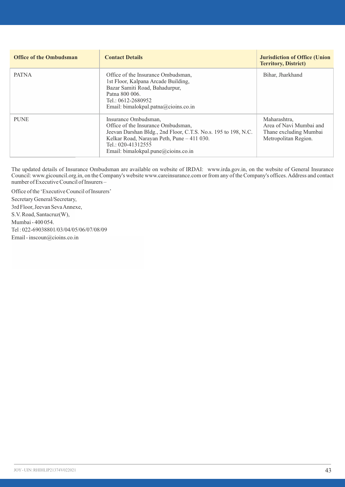| <b>Office of the Ombudsman</b> | <b>Contact Details</b>                                                                                                                                                                                                                  | <b>Jurisdiction of Office (Union</b><br><b>Territory, District)</b>                       |
|--------------------------------|-----------------------------------------------------------------------------------------------------------------------------------------------------------------------------------------------------------------------------------------|-------------------------------------------------------------------------------------------|
| <b>PATNA</b>                   | Office of the Insurance Ombudsman.<br>1st Floor, Kalpana Arcade Building,<br>Bazar Samiti Road, Bahadurpur,<br>Patna 800 006.<br>Tel.: 0612-2680952<br>Email: bimalokpal.patna@cioins.co.in                                             | Bihar, Jharkhand                                                                          |
| <b>PUNE</b>                    | Insurance Ombudsman,<br>Office of the Insurance Ombudsman.<br>Jeevan Darshan Bldg., 2nd Floor, C.T.S. No.s. 195 to 198, N.C.<br>Kelkar Road, Narayan Peth, Pune - 411 030.<br>Tel.: 020-41312555<br>Email: bimalokpal.pune@cioins.co.in | Maharashtra.<br>Area of Navi Mumbai and<br>Thane excluding Mumbai<br>Metropolitan Region. |

The updated details of Insurance Ombudsman are available on website of IRDAI: www.irda.gov.in, on the website of General Insurance Council: www.gicouncil.org.in, on the Company's website www.careinsurance.com or from any of the Company's offices. Address and contact number of Executive Council of Insurers –

Office of the 'Executive Council of Insurers' Secretary General/Secretary, 3rd Floor, Jeevan Seva Annexe, S.V. Road, Santacruz(W), Mumbai - 400 054. Tel : 022-69038801/03/04/05/06/07/08/09 Email - inscoun@cioins.co.in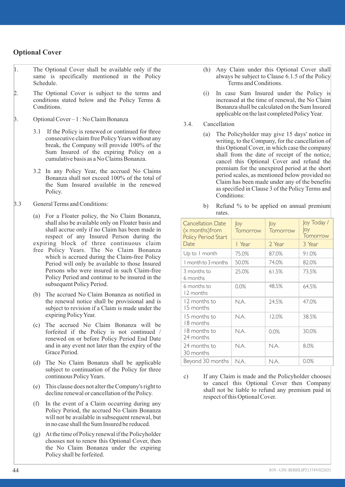## **Optional Cover**

- 1. The Optional Cover shall be available only if the same is specifically mentioned in the Policy Schedule.
- 2. The Optional Cover is subject to the terms and conditions stated below and the Policy Terms & Conditions.
- 3. Optional Cover 1 : No Claim Bonanza
	- 3.1 If the Policy is renewed or continued for three consecutive claim free Policy Years without any break, the Company will provide 100% of the Sum Insured of the expiring Policy on a cumulative basis as a No Claims Bonanza.
	- 3.2 In any Policy Year, the accrued No Claims Bonanza shall not exceed 100% of the total of the Sum Insured available in the renewed Policy.
- 3.3 General Terms and Conditions:

(a) For a Floater policy, the No Claim Bonanza, shall also be available only on Floater basis and shall accrue only if no Claim has been made in respect of any Insured Person during the expiring block of three continuous claim free Policy Years. The No Claim Bonanza which is accrued during the Claim-free Policy Period will only be available to those Insured Persons who were insured in such Claim-free Policy Period and continue to be insured in the subsequent Policy Period.

- (b) The accrued No Claim Bonanza as notified in the renewal notice shall be provisional and is subject to revision if a Claim is made under the expiring Policy Year.
- (c) The accrued No Claim Bonanza will be forfeited if the Policy is not continued / renewed on or before Policy Period End Date and in any event not later than the expiry of the Grace Period.
- (d) The No Claim Bonanza shall be applicable subject to continuation of the Policy for three continuous Policy Years.
- (e) This clause does not alter the Company's right to decline renewal or cancellation of the Policy.
- (f) In the event of a Claim occurring during any Policy Period, the accrued No Claim Bonanza will not be available in subsequent renewal, but in no case shall the Sum Insured be reduced.
- (g) At the time of Policy renewal if the Policyholder chooses not to renew this Optional Cover, then the No Claim Bonanza under the expiring Policy shall be forfeited.
- (h) Any Claim under this Optional Cover shall always be subject to Clause 6.1.5 of the Policy Terms and Conditions.
- (i) In case Sum Insured under the Policy is increased at the time of renewal, the No Claim Bonanza shall be calculated on the Sum Insured applicable on the last completed Policy Year.
- 3.4. Cancellation
	- (a) The Policyholder may give 15 days' notice in writing, to the Company, for the cancellation of this Optional Cover, in which case the company shall from the date of receipt of the notice, cancel this Optional Cover and refund the premium for the unexpired period at the short period scales, as mentioned below provided no Claim has been made under any of the benefits as specified in Clause 3 of the Policy Terms and Conditions:
	- b) Refund % to be applied on annual premium rates.

| <b>Cancellation Date</b><br>(x months) from<br>Policy Period Start | loy<br>Tomorrow | loy<br>Tomorrow | loy Today /<br>loy<br>Tomorrow |
|--------------------------------------------------------------------|-----------------|-----------------|--------------------------------|
| Date.                                                              | l Year          | 2 Year          | 3 Year                         |
| Up to I month                                                      | 75.0%           | 87.0%           | 91.0%                          |
| I month to 3 months                                                | 50.0%           | 74.0%           | 82.0%                          |
| 3 months to<br>6 months                                            | 25.0%           | 61.5%           | 73.5%                          |
| 6 months to<br>12 months                                           | 0.0%            | 48.5%           | 64.5%                          |
| 12 months to<br>15 months                                          | N.A.            | 24.5%           | 47.0%                          |
| 1.5 months to<br>18 months                                         | N.A.            | 12.0%           | 38.5%                          |
| 18 months to<br>24 months                                          | N.A.            | 0.0%            | 30.0%                          |
| 24 months to<br>30 months                                          | N.A.            | N.A.            | 8.0%                           |
| Beyond 30 months                                                   | N.A.            | N.A.            | 0.0%                           |

c) If any Claim is made and the Policyholder chooses to cancel this Optional Cover then Company shall not be liable to refund any premium paid in respect of this Optional Cover.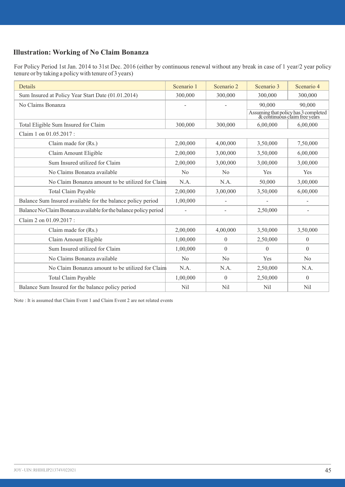# **Illustration: Working of No Claim Bonanza**

For Policy Period 1st Jan. 2014 to 31st Dec. 2016 (either by continuous renewal without any break in case of 1 year/2 year policy tenure or by taking a policy with tenure of 3 years)

| <b>Details</b>                                                   | Scenario 1     | Scenario 2     | Scenario 3 | Scenario 4                                                            |
|------------------------------------------------------------------|----------------|----------------|------------|-----------------------------------------------------------------------|
| Sum Insured at Policy Year Start Date (01.01.2014)               | 300,000        | 300,000        | 300,000    | 300,000                                                               |
| No Claims Bonanza                                                |                |                | 90,000     | 90,000                                                                |
|                                                                  |                |                |            | Assuming that policy has 3 completed<br>& continuous claim free years |
| Total Eligible Sum Insured for Claim                             | 300,000        | 300,000        | 6,00,000   | 6,00,000                                                              |
| Claim 1 on 01.05.2017 :                                          |                |                |            |                                                                       |
| Claim made for (Rs.)                                             | 2,00,000       | 4,00,000       | 3.50.000   | 7.50.000                                                              |
| Claim Amount Eligible                                            | 2,00,000       | 3.00.000       | 3.50.000   | 6,00,000                                                              |
| Sum Insured utilized for Claim                                   | 2,00,000       | 3.00.000       | 3,00,000   | 3,00,000                                                              |
| No Claims Bonanza available                                      | No             | No             | Yes        | <b>Yes</b>                                                            |
| No Claim Bonanza amount to be utilized for Claim                 | N.A.           | N.A.           | 50,000     | 3,00,000                                                              |
| <b>Total Claim Payable</b>                                       | 2,00,000       | 3,00,000       | 3,50,000   | 6,00,000                                                              |
| Balance Sum Insured available for the balance policy period      | 1,00,000       |                |            |                                                                       |
| Balance No Claim Bonanza available for the balance policy period |                | ٠              | 2,50,000   | ä,                                                                    |
| Claim 2 on 01.09.2017:                                           |                |                |            |                                                                       |
| Claim made for (Rs.)                                             | 2.00.000       | 4,00,000       | 3.50.000   | 3,50,000                                                              |
| Claim Amount Eligible                                            | 1.00.000       | $\Omega$       | 2,50,000   | $\Omega$                                                              |
| Sum Insured utilized for Claim                                   | 1.00.000       | $\Omega$       | $\Omega$   | $\Omega$                                                              |
| No Claims Bonanza available                                      | N <sub>0</sub> | N <sub>0</sub> | Yes        | No                                                                    |
| No Claim Bonanza amount to be utilized for Claim                 | N.A.           | N.A.           | 2,50,000   | N.A.                                                                  |
| <b>Total Claim Payable</b>                                       | 1,00,000       | $\mathbf{0}$   | 2,50,000   | $\theta$                                                              |
| Balance Sum Insured for the balance policy period                | Nil            | Nil            | Nil        | Nil                                                                   |

Note : It is assumed that Claim Event 1 and Claim Event 2 are not related events